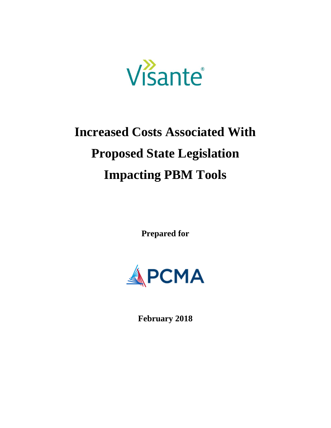

# **Increased Costs Associated With Proposed State Legislation Impacting PBM Tools**

**Prepared for**



**February 2018**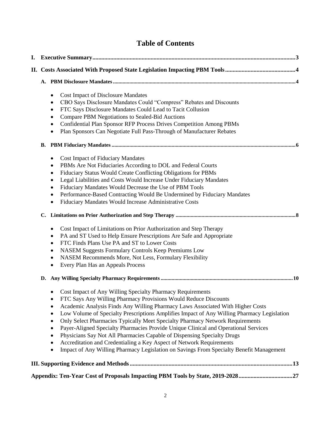## **Table of Contents**

| I. |                                                                                                                                                                                                                                                                                                                                                                                                                                                                                                                                                                                                                                                                                                                                                                                                                                                                                                                                                                 |  |  |  |  |  |  |  |
|----|-----------------------------------------------------------------------------------------------------------------------------------------------------------------------------------------------------------------------------------------------------------------------------------------------------------------------------------------------------------------------------------------------------------------------------------------------------------------------------------------------------------------------------------------------------------------------------------------------------------------------------------------------------------------------------------------------------------------------------------------------------------------------------------------------------------------------------------------------------------------------------------------------------------------------------------------------------------------|--|--|--|--|--|--|--|
|    |                                                                                                                                                                                                                                                                                                                                                                                                                                                                                                                                                                                                                                                                                                                                                                                                                                                                                                                                                                 |  |  |  |  |  |  |  |
|    |                                                                                                                                                                                                                                                                                                                                                                                                                                                                                                                                                                                                                                                                                                                                                                                                                                                                                                                                                                 |  |  |  |  |  |  |  |
|    | <b>Cost Impact of Disclosure Mandates</b><br>٠<br>CBO Says Disclosure Mandates Could "Compress" Rebates and Discounts<br>$\bullet$<br>FTC Says Disclosure Mandates Could Lead to Tacit Collusion<br>$\bullet$<br>Compare PBM Negotiations to Sealed-Bid Auctions<br>٠<br><b>Confidential Plan Sponsor RFP Process Drives Competition Among PBMs</b><br>٠<br>Plan Sponsors Can Negotiate Full Pass-Through of Manufacturer Rebates<br>٠                                                                                                                                                                                                                                                                                                                                                                                                                                                                                                                          |  |  |  |  |  |  |  |
|    | В.                                                                                                                                                                                                                                                                                                                                                                                                                                                                                                                                                                                                                                                                                                                                                                                                                                                                                                                                                              |  |  |  |  |  |  |  |
|    | <b>Cost Impact of Fiduciary Mandates</b><br>٠<br>PBMs Are Not Fiduciaries According to DOL and Federal Courts<br>٠<br>Fiduciary Status Would Create Conflicting Obligations for PBMs<br>٠<br>Legal Liabilities and Costs Would Increase Under Fiduciary Mandates<br>$\bullet$<br>Fiduciary Mandates Would Decrease the Use of PBM Tools<br>$\bullet$<br>Performance-Based Contracting Would Be Undermined by Fiduciary Mandates<br>$\bullet$<br>Fiduciary Mandates Would Increase Administrative Costs<br>$\bullet$<br>$\mathbf{C}$ .<br>Cost Impact of Limitations on Prior Authorization and Step Therapy<br>$\bullet$<br>PA and ST Used to Help Ensure Prescriptions Are Safe and Appropriate<br>$\bullet$<br>FTC Finds Plans Use PA and ST to Lower Costs<br>$\bullet$<br>NASEM Suggests Formulary Controls Keep Premiums Low<br>٠<br>NASEM Recommends More, Not Less, Formulary Flexibility<br>$\bullet$<br>Every Plan Has an Appeals Process<br>$\bullet$ |  |  |  |  |  |  |  |
|    | D.                                                                                                                                                                                                                                                                                                                                                                                                                                                                                                                                                                                                                                                                                                                                                                                                                                                                                                                                                              |  |  |  |  |  |  |  |
|    | Cost Impact of Any Willing Specialty Pharmacy Requirements<br>FTC Says Any Willing Pharmacy Provisions Would Reduce Discounts<br>$\bullet$<br>Academic Analysis Finds Any Willing Pharmacy Laws Associated With Higher Costs<br>$\bullet$<br>Low Volume of Specialty Prescriptions Amplifies Impact of Any Willing Pharmacy Legislation<br>$\bullet$<br>Only Select Pharmacies Typically Meet Specialty Pharmacy Network Requirements<br>$\bullet$<br>Payer-Aligned Specialty Pharmacies Provide Unique Clinical and Operational Services<br>$\bullet$<br>Physicians Say Not All Pharmacies Capable of Dispensing Specialty Drugs<br>٠<br>Accreditation and Credentialing a Key Aspect of Network Requirements<br>$\bullet$<br>Impact of Any Willing Pharmacy Legislation on Savings From Specialty Benefit Management<br>٠                                                                                                                                     |  |  |  |  |  |  |  |
|    |                                                                                                                                                                                                                                                                                                                                                                                                                                                                                                                                                                                                                                                                                                                                                                                                                                                                                                                                                                 |  |  |  |  |  |  |  |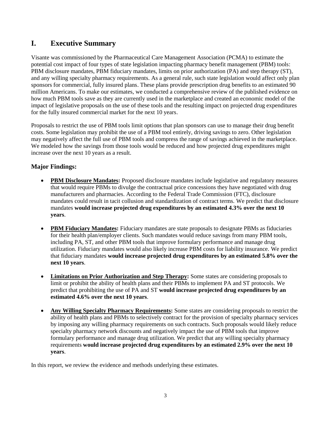## <span id="page-2-0"></span>**I. Executive Summary**

Visante was commissioned by the Pharmaceutical Care Management Association (PCMA) to estimate the potential cost impact of four types of state legislation impacting pharmacy benefit management (PBM) tools: PBM disclosure mandates, PBM fiduciary mandates, limits on prior authorization (PA) and step therapy (ST), and any willing specialty pharmacy requirements. As a general rule, such state legislation would affect only plan sponsors for commercial, fully insured plans. These plans provide prescription drug benefits to an estimated 90 million Americans. To make our estimates, we conducted a comprehensive review of the published evidence on how much PBM tools save as they are currently used in the marketplace and created an economic model of the impact of legislative proposals on the use of these tools and the resulting impact on projected drug expenditures for the fully insured commercial market for the next 10 years.

Proposals to restrict the use of PBM tools limit options that plan sponsors can use to manage their drug benefit costs. Some legislation may prohibit the use of a PBM tool entirely, driving savings to zero. Other legislation may negatively affect the full use of PBM tools and compress the range of savings achieved in the marketplace. We modeled how the savings from those tools would be reduced and how projected drug expenditures might increase over the next 10 years as a result.

## **Major Findings:**

- **PBM Disclosure Mandates:** Proposed disclosure mandates include legislative and regulatory measures that would require PBMs to divulge the contractual price concessions they have negotiated with drug manufacturers and pharmacies. According to the Federal Trade Commission (FTC), disclosure mandates could result in tacit collusion and standardization of contract terms. We predict that disclosure mandates **would increase projected drug expenditures by an estimated 4.3% over the next 10 years**.
- **PBM Fiduciary Mandates:** Fiduciary mandates are state proposals to designate PBMs as fiduciaries for their health plan/employer clients. Such mandates would reduce savings from many PBM tools, including PA, ST, and other PBM tools that improve formulary performance and manage drug utilization. Fiduciary mandates would also likely increase PBM costs for liability insurance. We predict that fiduciary mandates **would increase projected drug expenditures by an estimated 5.8% over the next 10 years**.
- **Limitations on Prior Authorization and Step Therapy:** Some states are considering proposals to limit or prohibit the ability of health plans and their PBMs to implement PA and ST protocols. We predict that prohibiting the use of PA and ST **would increase projected drug expenditures by an estimated 4.6% over the next 10 years**.
- **Any Willing Specialty Pharmacy Requirements:** Some states are considering proposals to restrict the ability of health plans and PBMs to selectively contract for the provision of specialty pharmacy services by imposing any willing pharmacy requirements on such contracts. Such proposals would likely reduce specialty pharmacy network discounts and negatively impact the use of PBM tools that improve formulary performance and manage drug utilization. We predict that any willing specialty pharmacy requirements **would increase projected drug expenditures by an estimated 2.9% over the next 10 years**.

In this report, we review the evidence and methods underlying these estimates.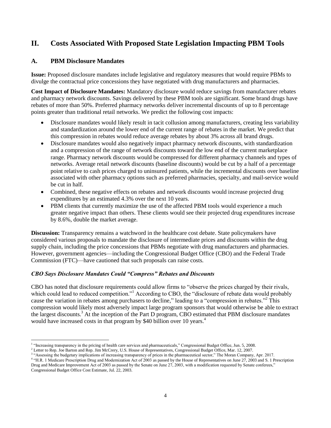## <span id="page-3-0"></span>**II. Costs Associated With Proposed State Legislation Impacting PBM Tools**

## <span id="page-3-1"></span>**A. PBM Disclosure Mandates**

**Issue:** Proposed disclosure mandates include legislative and regulatory measures that would require PBMs to divulge the contractual price concessions they have negotiated with drug manufacturers and pharmacies.

**Cost Impact of Disclosure Mandates:** Mandatory disclosure would reduce savings from manufacturer rebates and pharmacy network discounts. Savings delivered by these PBM tools are significant. Some brand drugs have rebates of more than 50%. Preferred pharmacy networks deliver incremental discounts of up to 8 percentage points greater than traditional retail networks. We predict the following cost impacts:

- Disclosure mandates would likely result in tacit collusion among manufacturers, creating less variability and standardization around the lower end of the current range of rebates in the market. We predict that this compression in rebates would reduce average rebates by about 3% across all brand drugs.
- Disclosure mandates would also negatively impact pharmacy network discounts, with standardization and a compression of the range of network discounts toward the low end of the current marketplace range. Pharmacy network discounts would be compressed for different pharmacy channels and types of networks. Average retail network discounts (baseline discounts) would be cut by a half of a percentage point relative to cash prices charged to uninsured patients, while the incremental discounts over baseline associated with other pharmacy options such as preferred pharmacies, specialty, and mail-service would be cut in half.
- Combined, these negative effects on rebates and network discounts would increase projected drug expenditures by an estimated 4.3% over the next 10 years.
- PBM clients that currently maximize the use of the affected PBM tools would experience a much greater negative impact than others. These clients would see their projected drug expenditures increase by 8.6%, double the market average.

**Discussion:** Transparency remains a watchword in the healthcare cost debate. State policymakers have considered various proposals to mandate the disclosure of intermediate prices and discounts within the drug supply chain, including the price concessions that PBMs negotiate with drug manufacturers and pharmacies. However, government agencies—including the Congressional Budget Office (CBO) and the Federal Trade Commission (FTC)—have cautioned that such proposals can raise costs.

## *CBO Says Disclosure Mandates Could "Compress" Rebates and Discounts*

CBO has noted that disclosure requirements could allow firms to "observe the prices charged by their rivals, which could lead to reduced competition."<sup>1</sup> According to CBO, the "disclosure of rebate data would probably cause the variation in rebates among purchasers to decline," leading to a "compression in rebates."<sup>2</sup> This compression would likely most adversely impact large program sponsors that would otherwise be able to extract the largest discounts.<sup>3</sup> At the inception of the Part D program, CBO estimated that PBM disclosure mandates would have increased costs in that program by \$40 billion over 10 years.<sup>4</sup>

 1 "Increasing transparency in the pricing of health care services and pharmaceuticals," Congressional Budget Office, Jun. 5, 2008.

<sup>&</sup>lt;sup>2</sup> Letter to Rep. Joe Barton and Rep. Jim McCrery, U.S. House of Representatives, Congressional Budget Office, Mar. 12, 2007.

<sup>3</sup> "Assessing the budgetary implications of increasing transparency of prices in the pharmaceutical sector," The Moran Company, Apr. 2017.

<sup>&</sup>lt;sup>4</sup> "H.R. 1 Medicare Prescription Drug and Modernization Act of 2003 as passed by the House of Representatives on June 27, 2003 and S. 1 Prescription Drug and Medicare Improvement Act of 2003 as passed by the Senate on June 27, 2003, with a modification requested by Senate conferees," Congressional Budget Office Cost Estimate, Jul. 22, 2003.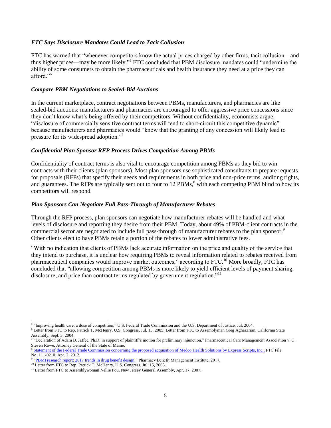#### *FTC Says Disclosure Mandates Could Lead to Tacit Collusion*

FTC has warned that "whenever competitors know the actual prices charged by other firms, tacit collusion—and thus higher prices—may be more likely." 5 FTC concluded that PBM disclosure mandates could "undermine the ability of some consumers to obtain the pharmaceuticals and health insurance they need at a price they can afford<sup>"6</sup>

#### *Compare PBM Negotiations to Sealed-Bid Auctions*

In the current marketplace, contract negotiations between PBMs, manufacturers, and pharmacies are like sealed-bid auctions: manufacturers and pharmacies are encouraged to offer aggressive price concessions since they don't know what's being offered by their competitors. Without confidentiality, economists argue, "disclosure of commercially sensitive contract terms will tend to short-circuit this competitive dynamic" because manufacturers and pharmacies would "know that the granting of any concession will likely lead to pressure for its widespread adoption."<sup>7</sup>

#### *Confidential Plan Sponsor RFP Process Drives Competition Among PBMs*

Confidentiality of contract terms is also vital to encourage competition among PBMs as they bid to win contracts with their clients (plan sponsors). Most plan sponsors use sophisticated consultants to prepare requests for proposals (RFPs) that specify their needs and requirements in both price and non-price terms, auditing rights, and guarantees. The RFPs are typically sent out to four to 12 PBMs,<sup>8</sup> with each competing PBM blind to how its competitors will respond.

#### *Plan Sponsors Can Negotiate Full Pass-Through of Manufacturer Rebates*

Through the RFP process, plan sponsors can negotiate how manufacturer rebates will be handled and what levels of disclosure and reporting they desire from their PBM. Today, about 49% of PBM-client contracts in the commercial sector are negotiated to include full pass-through of manufacturer rebates to the plan sponsor.<sup>9</sup> Other clients elect to have PBMs retain a portion of the rebates to lower administrative fees.

"With no indication that clients of PBMs lack accurate information on the price and quality of the service that they intend to purchase, it is unclear how requiring PBMs to reveal information related to rebates received from pharmaceutical companies would improve market outcomes," according to FTC.<sup>10</sup> More broadly, FTC has concluded that "allowing competition among PBMs is more likely to yield efficient levels of payment sharing, disclosure, and price than contract terms regulated by government regulation."<sup>11</sup>

<sup>&</sup>lt;sup>5</sup> "Improving health care: a dose of competition," U.S. Federal Trade Commission and the U.S. Department of Justice, Jul. 2004.

<sup>6</sup> Letter from FTC to Rep. Patrick T. McHenry, U.S. Congress, Jul. 15, 2005; Letter from FTC to Assemblyman Greg Aghazarian, California State Assembly, Sept. 3, 2004.

<sup>7</sup> "Declaration of Adam B. Jaffee, Ph.D. in support of plaintiff's motion for preliminary injunction," Pharmaceutical Care Management Association v. G. Steven Rowe, Attorney General of the State of Maine.

<sup>&</sup>lt;sup>8</sup> [Statement of the Federal Trade Commission concerning](https://www.ftc.gov/sites/default/files/documents/public_statements/statement-commission-concerning-proposed-acquisition-medco-health-solutions-express-scripts-inc./120402expressmedcostatement.pdf) the proposed acquisition of Medco Health Solutions by Express Scripts, Inc., FTC File No. 111-0210, Apr. 2, 2012.

<sup>9</sup> ["PBMI research report: 2017 trends in drug benefit design,"](https://www.pbmi.com/PBMI/Research/Store/BDR.aspx) Pharmacy Benefit Management Institute, 2017.

<sup>&</sup>lt;sup>10</sup> Letter from FTC to Rep. Patrick T. McHenry, U.S. Congress, Jul. 15, 2005.

<sup>&</sup>lt;sup>11</sup> Letter from FTC to Assemblywoman Nellie Pou, New Jersey General Assembly, Apr. 17, 2007.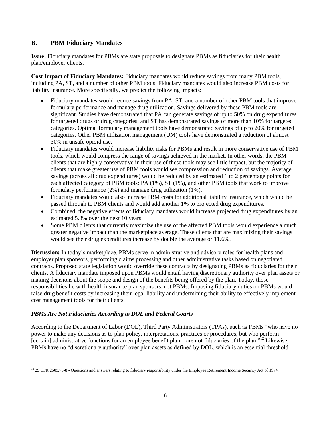## <span id="page-5-0"></span>**B. PBM Fiduciary Mandates**

**Issue:** Fiduciary mandates for PBMs are state proposals to designate PBMs as fiduciaries for their health plan/employer clients.

**Cost Impact of Fiduciary Mandates:** Fiduciary mandates would reduce savings from many PBM tools, including PA, ST, and a number of other PBM tools. Fiduciary mandates would also increase PBM costs for liability insurance. More specifically, we predict the following impacts:

- Fiduciary mandates would reduce savings from PA, ST, and a number of other PBM tools that improve formulary performance and manage drug utilization. Savings delivered by these PBM tools are significant. Studies have demonstrated that PA can generate savings of up to 50% on drug expenditures for targeted drugs or drug categories, and ST has demonstrated savings of more than 10% for targeted categories. Optimal formulary management tools have demonstrated savings of up to 20% for targeted categories. Other PBM utilization management (UM) tools have demonstrated a reduction of almost 30% in unsafe opioid use.
- Fiduciary mandates would increase liability risks for PBMs and result in more conservative use of PBM tools, which would compress the range of savings achieved in the market. In other words, the PBM clients that are highly conservative in their use of these tools may see little impact, but the majority of clients that make greater use of PBM tools would see compression and reduction of savings. Average savings (across all drug expenditures) would be reduced by an estimated 1 to 2 percentage points for each affected category of PBM tools: PA (1%), ST (1%), and other PBM tools that work to improve formulary performance (2%) and manage drug utilization (1%).
- Fiduciary mandates would also increase PBM costs for additional liability insurance, which would be passed through to PBM clients and would add another 1% to projected drug expenditures.
- Combined, the negative effects of fiduciary mandates would increase projected drug expenditures by an estimated 5.8% over the next 10 years.
- Some PBM clients that currently maximize the use of the affected PBM tools would experience a much greater negative impact than the marketplace average. These clients that are maximizing their savings would see their drug expenditures increase by double the average or 11.6%.

**Discussion:** In today's marketplace, PBMs serve in administrative and advisory roles for health plans and employer plan sponsors, performing claims processing and other administrative tasks based on negotiated contracts. Proposed state legislation would override these contracts by designating PBMs as fiduciaries for their clients. A fiduciary mandate imposed upon PBMs would entail having discretionary authority over plan assets or making decisions about the scope and design of the benefits being offered by the plan. Today, those responsibilities lie with health insurance plan sponsors, not PBMs. Imposing fiduciary duties on PBMs would raise drug benefit costs by increasing their legal liability and undermining their ability to effectively implement cost management tools for their clients.

## *PBMs Are Not Fiduciaries According to DOL and Federal Courts*

According to the Department of Labor (DOL), Third Party Administrators (TPAs), such as PBMs "who have no power to make any decisions as to plan policy, interpretations, practices or procedures, but who perform [certain] administrative functions for an employee benefit plan…are not fiduciaries of the plan."<sup>12</sup> Likewise, PBMs have no "discretionary authority" over plan assets as defined by DOL, which is an essential threshold

 $\overline{a}$  $12$  29 CFR 2509.75-8 - Questions and answers relating to fiduciary responsibility under the Employee Retirement Income Security Act of 1974.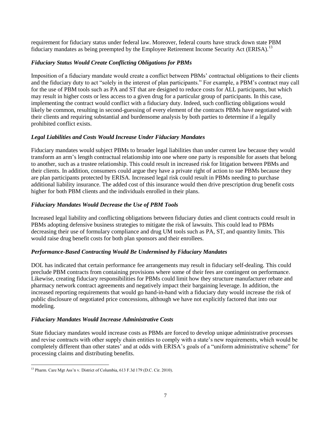requirement for fiduciary status under federal law. Moreover, federal courts have struck down state PBM fiduciary mandates as being preempted by the Employee Retirement Income Security Act (ERISA).<sup>13</sup>

## *Fiduciary Status Would Create Conflicting Obligations for PBMs*

Imposition of a fiduciary mandate would create a conflict between PBMs' contractual obligations to their clients and the fiduciary duty to act "solely in the interest of plan participants." For example, a PBM's contract may call for the use of PBM tools such as PA and ST that are designed to reduce costs for ALL participants, but which may result in higher costs or less access to a given drug for a particular group of participants. In this case, implementing the contract would conflict with a fiduciary duty. Indeed, such conflicting obligations would likely be common, resulting in second-guessing of every element of the contracts PBMs have negotiated with their clients and requiring substantial and burdensome analysis by both parties to determine if a legally prohibited conflict exists.

## *Legal Liabilities and Costs Would Increase Under Fiduciary Mandates*

Fiduciary mandates would subject PBMs to broader legal liabilities than under current law because they would transform an arm's length contractual relationship into one where one party is responsible for assets that belong to another, such as a trustee relationship. This could result in increased risk for litigation between PBMs and their clients. In addition, consumers could argue they have a private right of action to sue PBMs because they are plan participants protected by ERISA. Increased legal risk could result in PBMs needing to purchase additional liability insurance. The added cost of this insurance would then drive prescription drug benefit costs higher for both PBM clients and the individuals enrolled in their plans.

## *Fiduciary Mandates Would Decrease the Use of PBM Tools*

Increased legal liability and conflicting obligations between fiduciary duties and client contracts could result in PBMs adopting defensive business strategies to mitigate the risk of lawsuits. This could lead to PBMs decreasing their use of formulary compliance and drug UM tools such as PA, ST, and quantity limits. This would raise drug benefit costs for both plan sponsors and their enrollees.

## *Performance-Based Contracting Would Be Undermined by Fiduciary Mandates*

DOL has indicated that certain performance fee arrangements may result in fiduciary self-dealing. This could preclude PBM contracts from containing provisions where some of their fees are contingent on performance. Likewise, creating fiduciary responsibilities for PBMs could limit how they structure manufacturer rebate and pharmacy network contract agreements and negatively impact their bargaining leverage. In addition, the increased reporting requirements that would go hand-in-hand with a fiduciary duty would increase the risk of public disclosure of negotiated price concessions, although we have not explicitly factored that into our modeling.

## *Fiduciary Mandates Would Increase Administrative Costs*

State fiduciary mandates would increase costs as PBMs are forced to develop unique administrative processes and revise contracts with other supply chain entities to comply with a state's new requirements, which would be completely different than other states' and at odds with ERISA's goals of a "uniform administrative scheme" for processing claims and distributing benefits.

 $\overline{a}$ <sup>13</sup> Pharm. Care Mgt Ass'n v. District of Columbia, 613 F.3d 179 (D.C. Cir. 2010).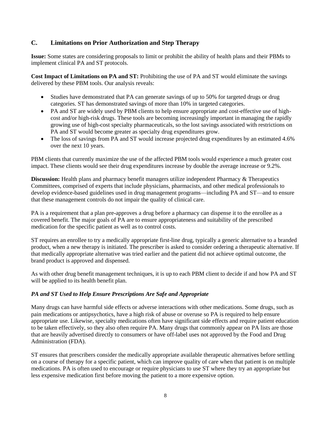## <span id="page-7-0"></span>**C. Limitations on Prior Authorization and Step Therapy**

**Issue:** Some states are considering proposals to limit or prohibit the ability of health plans and their PBMs to implement clinical PA and ST protocols.

**Cost Impact of Limitations on PA and ST:** Prohibiting the use of PA and ST would eliminate the savings delivered by these PBM tools. Our analysis reveals:

- Studies have demonstrated that PA can generate savings of up to 50% for targeted drugs or drug categories. ST has demonstrated savings of more than 10% in targeted categories.
- PA and ST are widely used by PBM clients to help ensure appropriate and cost-effective use of highcost and/or high-risk drugs. These tools are becoming increasingly important in managing the rapidly growing use of high-cost specialty pharmaceuticals, so the lost savings associated with restrictions on PA and ST would become greater as specialty drug expenditures grow.
- The loss of savings from PA and ST would increase projected drug expenditures by an estimated 4.6% over the next 10 years.

PBM clients that currently maximize the use of the affected PBM tools would experience a much greater cost impact. These clients would see their drug expenditures increase by double the average increase or 9.2%.

**Discussion:** Health plans and pharmacy benefit managers utilize independent Pharmacy & Therapeutics Committees, comprised of experts that include physicians, pharmacists, and other medical professionals to develop evidence-based guidelines used in drug management programs—including PA and ST—and to ensure that these management controls do not impair the quality of clinical care.

PA is a requirement that a plan pre-approves a drug before a pharmacy can dispense it to the enrollee as a covered benefit. The major goals of PA are to ensure appropriateness and suitability of the prescribed medication for the specific patient as well as to control costs.

ST requires an enrollee to try a medically appropriate first-line drug, typically a generic alternative to a branded product, when a new therapy is initiated. The prescriber is asked to consider ordering a therapeutic alternative. If that medically appropriate alternative was tried earlier and the patient did not achieve optimal outcome, the brand product is approved and dispensed.

As with other drug benefit management techniques, it is up to each PBM client to decide if and how PA and ST will be applied to its health benefit plan.

## *PA and ST Used to Help Ensure Prescriptions Are Safe and Appropriate*

Many drugs can have harmful side effects or adverse interactions with other medications. Some drugs, such as pain medications or antipsychotics, have a high risk of abuse or overuse so PA is required to help ensure appropriate use. Likewise, specialty medications often have significant side effects and require patient education to be taken effectively, so they also often require PA. Many drugs that commonly appear on PA lists are those that are heavily advertised directly to consumers or have off-label uses not approved by the Food and Drug Administration (FDA).

ST ensures that prescribers consider the medically appropriate available therapeutic alternatives before settling on a course of therapy for a specific patient, which can improve quality of care when that patient is on multiple medications. PA is often used to encourage or require physicians to use ST where they try an appropriate but less expensive medication first before moving the patient to a more expensive option.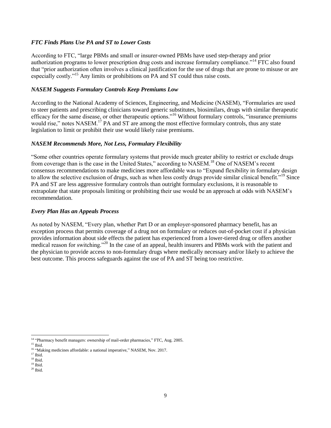#### *FTC Finds Plans Use PA and ST to Lower Costs*

According to FTC, "large PBMs and small or insurer-owned PBMs have used step-therapy and prior authorization programs to lower prescription drug costs and increase formulary compliance."<sup>14</sup> FTC also found that "prior authorization often involves a clinical justification for the use of drugs that are prone to misuse or are especially costly."<sup>15</sup> Any limits or prohibitions on PA and ST could thus raise costs.

#### *NASEM Suggests Formulary Controls Keep Premiums Low*

According to the National Academy of Sciences, Engineering, and Medicine (NASEM), "Formularies are used to steer patients and prescribing clinicians toward generic substitutes, biosimilars, drugs with similar therapeutic efficacy for the same disease, or other therapeutic options."<sup>16</sup> Without formulary controls, "insurance premiums would rise," notes NASEM.<sup>17</sup> PA and ST are among the most effective formulary controls, thus any state legislation to limit or prohibit their use would likely raise premiums.

#### *NASEM Recommends More, Not Less, Formulary Flexibility*

"Some other countries operate formulary systems that provide much greater ability to restrict or exclude drugs from coverage than is the case in the United States," according to NASEM.<sup>18</sup> One of NASEM's recent consensus recommendations to make medicines more affordable was to "Expand flexibility in formulary design to allow the selective exclusion of drugs, such as when less costly drugs provide similar clinical benefit."<sup>19</sup> Since PA and ST are less aggressive formulary controls than outright formulary exclusions, it is reasonable to extrapolate that state proposals limiting or prohibiting their use would be an approach at odds with NASEM's recommendation.

#### *Every Plan Has an Appeals Process*

As noted by NASEM, "Every plan, whether Part D or an employer-sponsored pharmacy benefit, has an exception process that permits coverage of a drug not on formulary or reduces out-of-pocket cost if a physician provides information about side effects the patient has experienced from a lower-tiered drug or offers another medical reason for switching."<sup>20</sup> In the case of an appeal, health insurers and PBMs work with the patient and the physician to provide access to non-formulary drugs where medically necessary and/or likely to achieve the best outcome. This process safeguards against the use of PA and ST being too restrictive.

<sup>&</sup>lt;sup>14</sup> "Pharmacy benefit managers: ownership of mail-order pharmacies," FTC, Aug. 2005.

<sup>&</sup>lt;sup>15</sup> Ibid.

<sup>&</sup>lt;sup>16</sup> "Making medicines affordable: a national imperative," NASEM, Nov. 2017.

 $^{\rm 17}$  Ibid.  $18$  Ibid.

 $19$  Ibid.

 $^{20}$  Ibid.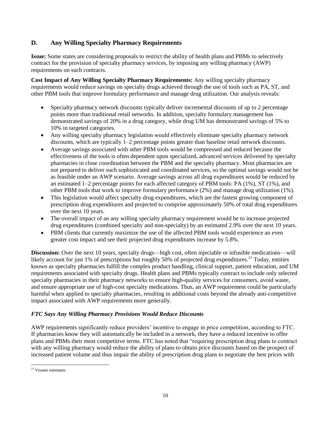## <span id="page-9-0"></span>**D. Any Willing Specialty Pharmacy Requirements**

**Issue:** Some states are considering proposals to restrict the ability of health plans and PBMs to selectively contract for the provision of specialty pharmacy services, by imposing any willing pharmacy (AWP) requirements on such contracts.

**Cost Impact of Any Willing Specialty Pharmacy Requirements:** Any willing specialty pharmacy requirements would reduce savings on specialty drugs achieved through the use of tools such as PA, ST, and other PBM tools that improve formulary performance and manage drug utilization. Our analysis reveals:

- Specialty pharmacy network discounts typically deliver incremental discounts of up to 2 percentage points more than traditional retail networks. In addition, specialty formulary management has demonstrated savings of 20% in a drug category, while drug UM has demonstrated savings of 5% to 10% in targeted categories.
- Any willing specialty pharmacy legislation would effectively eliminate specialty pharmacy network discounts, which are typically 1–2 percentage points greater than baseline retail network discounts.
- Average savings associated with other PBM tools would be compressed and reduced because the effectiveness of the tools is often dependent upon specialized, advanced services delivered by specialty pharmacies in close coordination between the PBM and the specialty pharmacy. Most pharmacies are not prepared to deliver such sophisticated and coordinated services, so the optimal savings would not be as feasible under an AWP scenario. Average savings across all drug expenditures would be reduced by an estimated 1–2 percentage points for each affected category of PBM tools: PA (1%), ST (1%), and other PBM tools that work to improve formulary performance (2%) and manage drug utilization (1%).
- This legislation would affect specialty drug expenditures, which are the fastest growing component of prescription drug expenditures and projected to comprise approximately 50% of total drug expenditures over the next 10 years.
- The overall impact of an any willing specialty pharmacy requirement would be to increase projected drug expenditures (combined specialty and non-specialty) by an estimated 2.9% over the next 10 years.
- PBM clients that currently maximize the use of the affected PBM tools would experience an even greater cost impact and see their projected drug expenditures increase by 5.8%.

**Discussion:** Over the next 10 years, specialty drugs—high cost, often injectable or infusible medications—will likely account for just 1% of prescriptions but roughly 50% of projected drug expenditures.<sup>21</sup> Today, entities known as specialty pharmacies fulfill the complex product handling, clinical support, patient education, and UM requirements associated with specialty drugs. Health plans and PBMs typically contract to include only selected specialty pharmacies in their pharmacy networks to ensure high-quality services for consumers, avoid waste, and ensure appropriate use of high-cost specialty medications. Thus, an AWP requirement could be particularly harmful when applied to specialty pharmacies, resulting in additional costs beyond the already anti-competitive impact associated with AWP requirements more generally.

## *FTC Says Any Willing Pharmacy Provisions Would Reduce Discounts*

AWP requirements significantly reduce providers' incentive to engage in price competition, according to FTC. If pharmacies know they will automatically be included in a network, they have a reduced incentive to offer plans and PBMs their most competitive terms. FTC has noted that "requiring prescription drug plans to contract with any willing pharmacy would reduce the ability of plans to obtain price discounts based on the prospect of increased patient volume and thus impair the ability of prescription drug plans to negotiate the best prices with

 $\overline{a}$ <sup>21</sup> Visante estimates.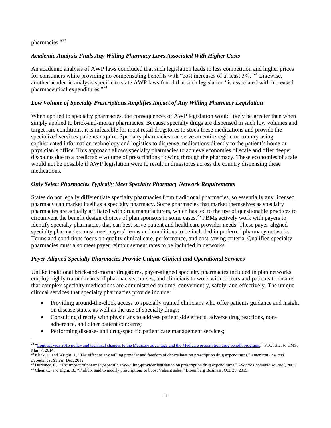#### pharmacies."<sup>22</sup>

#### *Academic Analysis Finds Any Willing Pharmacy Laws Associated With Higher Costs*

An academic analysis of AWP laws concluded that such legislation leads to less competition and higher prices for consumers while providing no compensating benefits with "cost increases of at least 3%."<sup>23</sup> Likewise, another academic analysis specific to state AWP laws found that such legislation "is associated with increased pharmaceutical expenditures."<sup>24</sup>

#### *Low Volume of Specialty Prescriptions Amplifies Impact of Any Willing Pharmacy Legislation*

When applied to specialty pharmacies, the consequences of AWP legislation would likely be greater than when simply applied to brick-and-mortar pharmacies. Because specialty drugs are dispensed in such low volumes and target rare conditions, it is infeasible for most retail drugstores to stock these medications and provide the specialized services patients require. Specialty pharmacies can serve an entire region or country using sophisticated information technology and logistics to dispense medications directly to the patient's home or physician's office. This approach allows specialty pharmacies to achieve economies of scale and offer deeper discounts due to a predictable volume of prescriptions flowing through the pharmacy. These economies of scale would not be possible if AWP legislation were to result in drugstores across the country dispensing these medications.

#### *Only Select Pharmacies Typically Meet Specialty Pharmacy Network Requirements*

States do not legally differentiate specialty pharmacies from traditional pharmacies, so essentially any licensed pharmacy can market itself as a specialty pharmacy. Some pharmacies that market themselves as specialty pharmacies are actually affiliated with drug manufacturers, which has led to the use of questionable practices to circumvent the benefit design choices of plan sponsors in some cases.<sup>25</sup> PBMs actively work with payers to identify specialty pharmacies that can best serve patient and healthcare provider needs. These payer-aligned specialty pharmacies must meet payers' terms and conditions to be included in preferred pharmacy networks. Terms and conditions focus on quality clinical care, performance, and cost-saving criteria. Qualified specialty pharmacies must also meet payer reimbursement rates to be included in networks.

#### *Payer-Aligned Specialty Pharmacies Provide Unique Clinical and Operational Services*

Unlike traditional brick-and-mortar drugstores, payer-aligned specialty pharmacies included in plan networks employ highly trained teams of pharmacists, nurses, and clinicians to work with doctors and patients to ensure that complex specialty medications are administered on time, conveniently, safely, and effectively. The unique clinical services that specialty pharmacies provide include:

- Providing around-the-clock access to specially trained clinicians who offer patients guidance and insight on disease states, as well as the use of specialty drugs;
- Consulting directly with physicians to address patient side effects, adverse drug reactions, nonadherence, and other patient concerns;
- Performing disease- and drug-specific patient care management services;

 $\overline{\phantom{a}}$ <sup>22</sup> ["Contract year 2015 policy and technical changes to the Medicare advantage and the Medicare prescription drug benefit programs,](https://www.ftc.gov/system/files/documents/advocacy_documents/federal-trade-commission-staff-comment-centers-medicare-medicaid-services-regarding-proposed-rule/140310cmscomment.pdf)" FTC letter to CMS, Mar. 7, 2014.

<sup>23</sup> Klick, J., and Wright, J., "The effect of any willing provider and freedom of choice laws on prescription drug expenditures," *American Law and Economics Review*, Dec. 2012.

<sup>24</sup> Durrance, C., "The impact of pharmacy-specific any-willing-provider legislation on prescription drug expenditures," *Atlantic Economic Journal*, 2009.

<sup>&</sup>lt;sup>25</sup> Chen, C., and Elgin, B., "Philidor said to modify prescriptions to boost Valeant sales," Bloomberg Business, Oct. 29, 2015.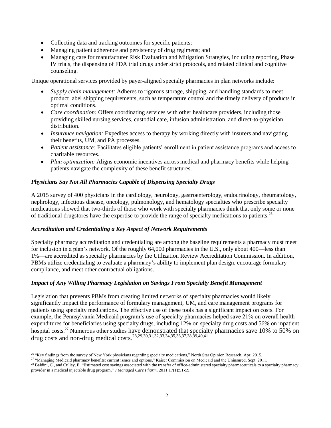- Collecting data and tracking outcomes for specific patients;
- Managing patient adherence and persistency of drug regimens; and
- Managing care for manufacturer Risk Evaluation and Mitigation Strategies, including reporting, Phase IV trials, the dispensing of FDA trial drugs under strict protocols, and related clinical and cognitive counseling.

Unique operational services provided by payer-aligned specialty pharmacies in plan networks include:

- *Supply chain management:* Adheres to rigorous storage, shipping, and handling standards to meet product label shipping requirements, such as temperature control and the timely delivery of products in optimal conditions.
- *Care coordination:* Offers coordinating services with other healthcare providers, including those providing skilled nursing services, custodial care, infusion administration, and direct-to-physician distribution.
- *Insurance navigation:* Expedites access to therapy by working directly with insurers and navigating their benefits, UM, and PA processes.
- *Patient assistance:* Facilitates eligible patients' enrollment in patient assistance programs and access to charitable resources.
- *Plan optimization:* Aligns economic incentives across medical and pharmacy benefits while helping patients navigate the complexity of these benefit structures.

## *Physicians Say Not All Pharmacies Capable of Dispensing Specialty Drugs*

A 2015 survey of 400 physicians in the cardiology, neurology, gastroenterology, endocrinology, rheumatology, nephrology, infectious disease, oncology, pulmonology, and hematology specialties who prescribe specialty medications showed that two-thirds of those who work with specialty pharmacies think that only some or none of traditional drugstores have the expertise to provide the range of specialty medications to patients.<sup>26</sup>

#### *Accreditation and Credentialing a Key Aspect of Network Requirements*

Specialty pharmacy accreditation and credentialing are among the baseline requirements a pharmacy must meet for inclusion in a plan's network. Of the roughly 64,000 pharmacies in the U.S., only about 400—less than 1%—are accredited as specialty pharmacies by the Utilization Review Accreditation Commission. In addition, PBMs utilize credentialing to evaluate a pharmacy's ability to implement plan design, encourage formulary compliance, and meet other contractual obligations.

## *Impact of Any Willing Pharmacy Legislation on Savings From Specialty Benefit Management*

Legislation that prevents PBMs from creating limited networks of specialty pharmacies would likely significantly impact the performance of formulary management, UM, and care management programs for patients using specialty medications. The effective use of these tools has a significant impact on costs. For example, the Pennsylvania Medicaid program's use of specialty pharmacies helped save 21% on overall health expenditures for beneficiaries using specialty drugs, including 12% on specialty drug costs and 56% on inpatient hospital costs.<sup>27</sup> Numerous other studies have demonstrated that specialty pharmacies save 10% to 50% on drug costs and non-drug medical costs.<sup>28,29,30,31,32,33,34,35,36,37,38,39,40,41</sup>

l <sup>26</sup> "Key findings from the survey of New York physicians regarding specialty medications," North Star Opinion Research, Apr. 2015.

<sup>&</sup>lt;sup>27</sup> "Managing Medicaid pharmacy benefits: current issues and options," Kaiser Commission on Medicaid and the Uninsured, Sept. 2011.

<sup>&</sup>lt;sup>28</sup> Baldini, C., and Culley, E. "Estimated cost savings associated with the transfer of office-administered specialty pharmaceuticals to a specialty pharmacy provider in a medical injectable drug program," *J Managed Care Pharm*. 2011;17(1):51-59.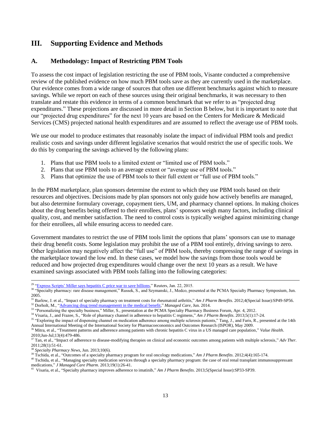## <span id="page-12-0"></span>**III. Supporting Evidence and Methods**

## **A. Methodology: Impact of Restricting PBM Tools**

To assess the cost impact of legislation restricting the use of PBM tools, Visante conducted a comprehensive review of the published evidence on how much PBM tools save as they are currently used in the marketplace. Our evidence comes from a wide range of sources that often use different benchmarks against which to measure savings. While we report on each of these sources using their original benchmarks, it was necessary to then translate and restate this evidence in terms of a common benchmark that we refer to as "projected drug expenditures." These projections are discussed in more detail in Section B below, but it is important to note that our "projected drug expenditures" for the next 10 years are based on the Centers for Medicare & Medicaid Services (CMS) projected national health expenditures and are assumed to reflect the average use of PBM tools.

We use our model to produce estimates that reasonably isolate the impact of individual PBM tools and predict realistic costs and savings under different legislative scenarios that would restrict the use of specific tools. We do this by comparing the savings achieved by the following plans:

- 1. Plans that use PBM tools to a limited extent or "limited use of PBM tools."
- 2. Plans that use PBM tools to an average extent or "average use of PBM tools."
- 3. Plans that optimize the use of PBM tools to their full extent or "full use of PBM tools."

In the PBM marketplace, plan sponsors determine the extent to which they use PBM tools based on their resources and objectives. Decisions made by plan sponsors not only guide how actively benefits are managed, but also determine formulary coverage, copayment tiers, UM, and pharmacy channel options. In making choices about the drug benefits being offered to their enrollees, plans' sponsors weigh many factors, including clinical quality, cost, and member satisfaction. The need to control costs is typically weighed against minimizing change for their enrollees, all while ensuring access to needed care.

Government mandates to restrict the use of PBM tools limit the options that plans' sponsors can use to manage their drug benefit costs. Some legislation may prohibit the use of a PBM tool entirely, driving savings to zero. Other legislation may negatively affect the "full use" of PBM tools, thereby compressing the range of savings in the marketplace toward the low end. In these cases, we model how the savings from those tools would be reduced and how projected drug expenditures would change over the next 10 years as a result. We have examined savings associated with PBM tools falling into the following categories:

<sup>38</sup> *Specialty Pharmacy News*, Jun. 2013;10(6).

 $\overline{a}$ 

 $29$  ["Express Scripts' Miller says](http://www.reuters.com/article/2015/01/22/us-express-scr-hepatitisc-idUSKBN0KV26X20150122) hepatitis C price war to save billions," Reuters, Jan. 22, 2015.

<sup>&</sup>lt;sup>30</sup> "Specialty pharmacy: rare disease management," Russek, S., and Szymanski, J., Medco, presented at the PCMA Specialty Pharmacy Symposium, Jun. 2005.

<sup>&</sup>lt;sup>31</sup> Barlow, J. et al., "Impact of specialty pharmacy on treatment costs for rheumatoid arthritis," Am J Pharm Benefits. 2012;4(Special Issue):SP49-SP56. <sup>32</sup> Dorholt, M., ["Advancing drug trend managementt in the medical](https://managedcaremag.com/archives/2014/6/advancing-drug-trend-management-medical-benefit) benefit," Managed Care, Jun. 2014.

<sup>&</sup>lt;sup>33</sup> "Personalizing the specialty business," Miller, S., presentation at the PCMA Specialty Pharmacy Business Forum, Apr. 4, 2012.

<sup>34</sup> Visaria, J., and Frazee, S., "Role of pharmacy channel in adherence to hepatitis C regimens," *Am J Pharm Benefits*. 2013;5(1):17-24.

<sup>&</sup>lt;sup>35</sup> "Exploring the impact of dispensing channel on medication adherence among multiple sclerosis patients," Tang, J., and Faris, R., presented at the 14th Annual International Meeting of the International Society for Pharmacoeconomics and Outcomes Research (ISPOR), May 2009.

<sup>36</sup> Mitra, et al., "Treatment patterns and adherence among patients with chronic hepatitis C virus in a US managed care population," *Value Health*. 2010;Jun-Jul;13(4):479-486.

<sup>37</sup> Tan, et al., "Impact of adherence to disease-modifying therapies on clinical and economic outcomes among patients with multiple sclerosis," *Adv Ther*. 2011;28(1):51-61.

<sup>39</sup> Tschida, et al., "Outcomes of a specialty pharmacy program for oral oncology medications," *Am J Pharm Benefits*. 2012;4(4):165-174.

<sup>&</sup>lt;sup>40</sup> Tschida, et al., "Managing specialty medication services through a specialty pharmacy program: the case of oral renal transplant immunosuppressant medications," *J Managed Care Pharm.* 2013;19(1):26-41.

Visaria, et al., "Specialty pharmacy improves adherence to imatinib," *Am J Pharm Benefits*. 2013;5(Special Issue):SP33-SP39.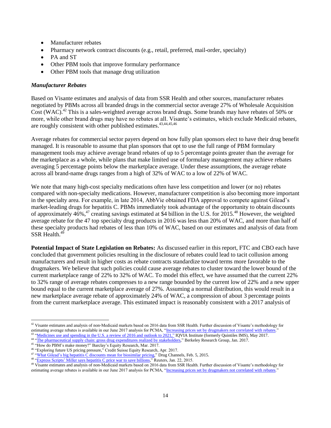- Manufacturer rebates
- Pharmacy network contract discounts (e.g., retail, preferred, mail-order, specialty)
- PA and ST
- Other PBM tools that improve formulary performance
- Other PBM tools that manage drug utilization

#### *Manufacturer Rebates*

Based on Visante estimates and analysis of data from SSR Health and other sources, manufacturer rebates negotiated by PBMs across all branded drugs in the commercial sector average 27% of Wholesale Acquisition Cost (WAC).<sup>42</sup> This is a sales-weighted average across brand drugs. Some brands may have rebates of 50% or more, while other brand drugs may have no rebates at all. Visante's estimates, which exclude Medicaid rebates, are roughly consistent with other published estimates.<sup>43,44,45,46</sup>

Average rebates for commercial sector payers depend on how fully plan sponsors elect to have their drug benefit managed. It is reasonable to assume that plan sponsors that opt to use the full range of PBM formulary management tools may achieve average brand rebates of up to 5 percentage points greater than the average for the marketplace as a whole, while plans that make limited use of formulary management may achieve rebates averaging 5 percentage points below the marketplace average. Under these assumptions, the average rebate across all brand-name drugs ranges from a high of 32% of WAC to a low of 22% of WAC.

We note that many high-cost specialty medications often have less competition and lower (or no) rebates compared with non-specialty medications. However, manufacturer competition is also becoming more important in the specialty area. For example, in late 2014, AbbVie obtained FDA approval to compete against Gilead's market-leading drugs for hepatitis C. PBMs immediately took advantage of the opportunity to obtain discounts of approximately 46%,<sup>47</sup> creating savings estimated at \$4 billion in the U.S. for 2015.<sup>48</sup> However, the weighted average rebate for the 47 top specialty drug products in 2016 was less than 20% of WAC, and more than half of these specialty products had rebates of less than 10% of WAC, based on our estimates and analysis of data from  $SSR$  Health  $^{49}$ 

**Potential Impact of State Legislation on Rebates:** As discussed earlier in this report, FTC and CBO each have concluded that government policies resulting in the disclosure of rebates could lead to tacit collusion among manufacturers and result in higher costs as rebate contracts standardize toward terms more favorable to the drugmakers. We believe that such policies could cause average rebates to cluster toward the lower bound of the current marketplace range of 22% to 32% of WAC. To model this effect, we have assumed that the current 22% to 32% range of average rebates compresses to a new range bounded by the current low of 22% and a new upper bound equal to the current marketplace average of 27%. Assuming a normal distribution, this would result in a new marketplace average rebate of approximately 24% of WAC, a compression of about 3 percentage points from the current marketplace average. This estimated impact is reasonably consistent with a 2017 analysis of

 $\overline{\phantom{a}}$ 

 $42$  Visante estimates and analysis of non-Medicaid markets based on 2016 data from SSR Health. Further discussion of Visante's methodology for estimating average rebates is available in our June 2017 analysis for PCMA, ["Increasing prices set by drugmakers not correlated with rebates."](https://www.pcmanet.org/wp-content/uploads/2017/06/Visante-Study-on-Prices-vs.-Rebates-FINAL.pdf) <sup>43</sup> ["Medicines use and spending in the U.S. a](https://structurecms-staging-psyclone.netdna-ssl.com/client_assets/dwonk/media/attachments/590c/6aa0/6970/2d2d/4182/0000/590c6aa069702d2d41820000.pdf?1493985952) review of 2016 and outlook to 2021," IQVIA Institute (formerly Quintiles IMS), May 2017.

<sup>&</sup>lt;sup>44</sup> ["The pharmaceutical supply chain: gross drug expenditures realized by stakeholders,](https://www.thinkbrg.com/media/publication/863_Vandervelde_PhRMA-January-2017_WEB-FINAL.pdf)" Berkeley Research Group, Jan. 2017. <sup>45</sup> "How do PBM's make money?" Barclay's Equity Research, Mar. 2017.

<sup>46</sup> "Exploring future US pricing pressure," Credit Suisse Equity Research, Apr. 2017.

<sup>&</sup>lt;sup>47</sup> ["What Gilead's big](http://www.drugchannels.net/2015/02/what-gileads-big-hepatitis-c-discounts.html#more) hepatitis C discounts mean for biosimilar pricing," Drug Channels, Feb. 5, 2015.

<sup>&</sup>lt;sup>48</sup> ["Express Scripts' Miller says](http://www.reuters.com/article/2015/01/22/us-express-scr-hepatitisc-idUSKBN0KV26X20150122) hepatitis C price war to save billions," Reuters, Jan. 22, 2015.

<sup>&</sup>lt;sup>49</sup> Visante estimates and analysis of non-Medicaid markets based on 2016 data from SSR Health. Further discussion of Visante's methodology for estimating average rebates is available in our June 2017 analysis for PCMA, "Increasing prices set by drugmakers not correlated with rebates.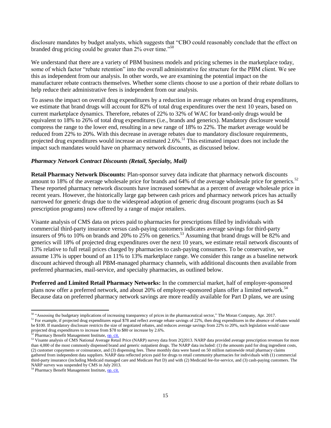disclosure mandates by budget analysts, which suggests that "CBO could reasonably conclude that the effect on branded drug pricing could be greater than 2% over time."<sup>50</sup>

We understand that there are a variety of PBM business models and pricing schemes in the marketplace today, some of which factor "rebate retention" into the overall administrative fee structure for the PBM client. We see this as independent from our analysis. In other words, we are examining the potential impact on the manufacturer rebate contracts themselves. Whether some clients choose to use a portion of their rebate dollars to help reduce their administrative fees is independent from our analysis.

To assess the impact on overall drug expenditures by a reduction in average rebates on brand drug expenditures, we estimate that brand drugs will account for 82% of total drug expenditures over the next 10 years, based on current marketplace dynamics. Therefore, rebates of 22% to 32% of WAC for brand-only drugs would be equivalent to 18% to 26% of total drug expenditures (i.e., brands and generics). Mandatory disclosure would compress the range to the lower end, resulting in a new range of 18% to 22%. The market average would be reduced from 22% to 20%. With this decrease in average rebates due to mandatory disclosure requirements, projected drug expenditures would increase an estimated 2.6%.<sup>51</sup> This estimated impact does not include the impact such mandates would have on pharmacy network discounts, as discussed below.

#### *Pharmacy Network Contract Discounts (Retail, Specialty, Mail)*

**Retail Pharmacy Network Discounts:** Plan-sponsor survey data indicate that pharmacy network discounts amount to 18% of the average wholesale price for brands and 64% of the average wholesale price for generics.<sup>52</sup> These reported pharmacy network discounts have increased somewhat as a percent of average wholesale price in recent years. However, the historically large gap between cash prices and pharmacy network prices has actually narrowed for generic drugs due to the widespread adoption of generic drug discount programs (such as \$4 prescription programs) now offered by a range of major retailers.

Visante analysis of CMS data on prices paid to pharmacies for prescriptions filled by individuals with commercial third-party insurance versus cash-paying customers indicates average savings for third-party insurers of 9% to 10% on brands and 20% to  $25%$  on generics.<sup>53</sup> Assuming that brand drugs will be  $82%$  and generics will 18% of projected drug expenditures over the next 10 years, we estimate retail network discounts of 13% relative to full retail prices charged by pharmacies to cash-paying consumers. To be conservative, we assume 13% is upper bound of an 11% to 13% marketplace range. We consider this range as a baseline network discount achieved through all PBM-managed pharmacy channels, with additional discounts then available from preferred pharmacies, mail-service, and specialty pharmacies, as outlined below.

**Preferred and Limited Retail Pharmacy Networks:** In the commercial market, half of employer-sponsored plans now offer a preferred network, and about 20% of employer-sponsored plans offer a limited network.<sup>54</sup> Because data on preferred pharmacy network savings are more readily available for Part D plans, we are using

 $\overline{\phantom{a}}$ 

<sup>&</sup>lt;sup>50</sup> "Assessing the budgetary implications of increasing transparency of prices in the pharmaceutical sector," The Moran Company, Apr. 2017. <sup>51</sup> For example, if projected drug expenditures equal \$78 and reflect average rebate savings of 22%, then drug expenditures in the absence of rebates would

be \$100. If mandatory disclosure restricts the size of negotiated rebates, and reduces average savings from 22% to 20%, such legislation would cause projected drug expenditures to increase from \$78 to \$80 or increase by 2.6%.

<sup>&</sup>lt;sup>52</sup> Pharmacy Benefit Management Institute[, op. cit.](https://www.pbmi.com/PBMI/Research/PBMI_Reports/Drug_Benefit_Reports/PBMI/Research/)

<sup>&</sup>lt;sup>53</sup> Visante analysis of CMS National Average Retail Price (NARP) survey data from 2Q2013. NARP data provided average prescription revenues for more than 4,000 of the most commonly dispensed brand and generic outpatient drugs. The NARP data included: (1) the amounts paid for drug ingredient costs, (2) customer copayments or coinsurance, and (3) dispensing fees. These monthly data were based on 50 million nationwide retail pharmacy claims gathered from independent data suppliers. NARP data reflected prices paid for drugs to retail community pharmacies for individuals with (1) commercial third-party insurance (including Medicaid managed care and Medicare Part D) and with (2) Medicaid fee-for-service, and (3) cash-paying customers. The NARP survey was suspended by CMS in July 2013.

<sup>&</sup>lt;sup>54</sup> Pharmacy Benefit Management Institute[, op. cit.](https://www.pbmi.com/PBMI/Research/PBMI_Reports/Drug_Benefit_Reports/PBMI/Research/)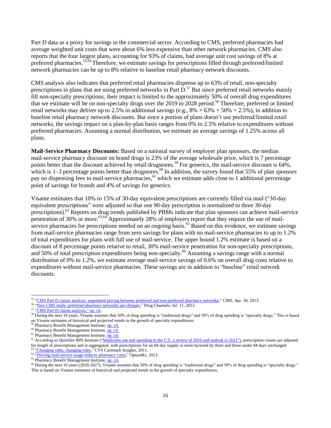Part D data as a proxy for savings in the commercial sector. According to CMS, preferred pharmacies had average weighted unit costs that were about 6% less expensive than other network pharmacies. CMS also reports that the four largest plans, accounting for 93% of claims, had average unit cost savings of 8% at preferred pharmacies.<sup>55,56</sup>Therefore, we estimate savings for prescriptions filled through preferred/limited network pharmacies can be up to 8% relative to baseline retail pharmacy network discounts.

CMS analysis also indicates that preferred retail pharmacies dispense up to 63% of retail, non-specialty prescriptions in plans that are using preferred networks in Part  $\overline{D}$ .<sup>57</sup> But since preferred retail networks mainly fill non-specialty prescriptions, their impact is limited to the approximately 50% of overall drug expenditures that we estimate will be on non-specialty drugs over the 2019 to 2028 period. <sup>58</sup> Therefore, preferred or limited retail networks may deliver up to 2.5% in additional savings (e.g.,  $8\% \times 63\% \times 50\% = 2.5\%$ ), in addition to baseline retail pharmacy network discounts. But since a portion of plans doesn't use preferred/limited retail networks, the savings impact on a plan-by-plan basis ranges from 0% to 2.5% relative to expenditures without preferred pharmacies. Assuming a normal distribution, we estimate an average savings of 1.25% across all plans.

**Mail-Service Pharmacy Discounts:** Based on a national survey of employer plan sponsors, the median mail-service pharmacy discount on brand drugs is 23% of the average wholesale price, which is 7 percentage points better than the discount achieved by retail drugstores.<sup>59</sup> For generics, the mail-service discount is 64%, which is  $1-3$  percentage points better than drugstores.<sup>60</sup> In addition, the survey found that 55% of plan sponsors pay no dispensing fees to mail-service pharmacies, <sup>61</sup> which we estimate adds close to 1 additional percentage point of savings for brands and 4% of savings for generics.

Visante estimates that 10% to 15% of 30-day equivalent prescriptions are currently filled via mail ("30-day equivalent prescriptions" were adjusted so that one 90-day prescription is normalized to three 30-day prescriptions).<sup>62</sup> Reports on drug trends published by PBMs indicate that plan sponsors can achieve mail-service penetration of 30% or more.63,64 Approximately 28% of employers report that they require the use of mailservice pharmacies for prescriptions needed on an ongoing basis.<sup>65</sup> Based on this evidence, we estimate savings from mail-service pharmacies range from zero savings for plans with no mail-service pharmacies to up to 1.2% of total expenditures for plans with full use of mail-service. The upper bound 1.2% estimate is based on a discount of 8 percentage points relative to retail, 30% mail-service penetration for non-specialty prescriptions, and 50% of total prescription expenditures being non-specialty.<sup>66</sup> Assuming a savings range with a normal distribution of 0% to 1.2%, we estimate average mail-service savings of 0.6% on overall drug costs relative to expenditures without mail-service pharmacies. These savings are in addition to "baseline" retail network discounts.

<sup>&</sup>lt;sup>55</sup> "CMS Part D claims analysis: negotiated pricing between [preferred and non-preferred pharmacy](http://www.cms.gov/Medicare/Prescription-Drug-Coverage/PrescriptionDrugCovGenIn/Downloads/PharmacyNetwork.pdf) networks," CMS, Apr. 30, 2013.

<sup>&</sup>lt;sup>56</sup> ["New CMS study: preferred pharmacy networks](http://www.drugchannels.net/2013/07/new-cms-study-preferred-pharmacy_11.html) are cheaper," Drug Channels, Jul. 11, 2013.

<sup>57</sup> ["CMS Part D claims analysis," o](http://www.cms.gov/Medicare/Prescription-Drug-Coverage/PrescriptionDrugCovGenIn/Downloads/PharmacyNetwork.pdf)p. cit.

<sup>&</sup>lt;sup>58</sup> During the next 10 years, Visante assumes that 50% of drug spending is "traditional drugs" and 50% of drug spending is "specialty drugs." This is based on Visante estimates of historical and projected trends in the growth of specialty expenditures.

<sup>&</sup>lt;sup>59</sup> Pharmacy Benefit Management Institute[, op. cit.](https://www.pbmi.com/PBMI/Research/PBMI_Reports/Drug_Benefit_Reports/PBMI/Research/)

<sup>&</sup>lt;sup>60</sup> Pharmacy Benefit Management Institute[, op. cit.](https://www.pbmi.com/PBMI/Research/PBMI_Reports/Drug_Benefit_Reports/PBMI/Research/)

<sup>&</sup>lt;sup>61</sup> Pharmacy Benefit Management Institute, **op. cit.** 

 $62$  According to Quintiles IMS Institute (["Medicines use and spending in the U.S. a](http://www.imshealth.com/en_US/thought-leadership/quintilesims-institute/reports/medicines-use-and-spending-in-the-us-review-of-2016-outlook-to-2021) review of 2016 and outlook to 2021"), prescription counts are adjusted for length of prescriptions and re-aggregated, with prescriptions for an 84-day supply or more factored by three and those under 84 days unchanged. <sup>63</sup> ["Changing rules,](http://www.cvscaremark.com/files/reports/Insights2011.pdf) changing roles," CVS Caremark Insights, 2011.

<sup>&</sup>lt;sup>64</sup> ["Driving mail service usage reduces pharmacy costs,](https://www.optumrx.com/vgnlive/CLP/Assets/PDF/ORX6328_130213_B2B_CASESTUDY_Mandatory_Mail_Success_Story_FINAL.pdf)" OptumRx, 2013.

<sup>&</sup>lt;sup>65</sup> Pharmacy Benefit Management Institute[, op. cit.](https://www.pbmi.com/PBMI/Research/PBMI_Reports/Drug_Benefit_Reports/PBMI/Research/)

<sup>66</sup> During the next 10 years (2018-2027), Visante assumes that 50% of drug spending is "traditional drugs" and 50% of drug spending is "specialty drugs." This is based on Visante estimates of historical and projected trends in the growth of specialty expenditures.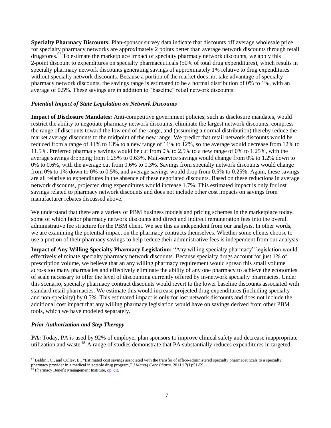**Specialty Pharmacy Discounts:** Plan-sponsor survey data indicate that discounts off average wholesale price for specialty pharmacy networks are approximately 2 points better than average network discounts through retail drugstores.<sup>67</sup> To estimate the marketplace impact of specialty pharmacy network discounts, we apply this 2-point discount to expenditures on specialty pharmaceuticals (50% of total drug expenditures), which results in specialty pharmacy network discounts generating savings of approximately 1% relative to drug expenditures without specialty network discounts. Because a portion of the market does not take advantage of specialty pharmacy network discounts, the savings range is estimated to be a normal distribution of 0% to 1%, with an average of 0.5%. These savings are in addition to "baseline" retail network discounts.

#### *Potential Impact of State Legislation on Network Discounts*

**Impact of Disclosure Mandates:** Anti-competitive government policies, such as disclosure mandates, would restrict the ability to negotiate pharmacy network discounts, eliminate the largest network discounts, compress the range of discounts toward the low end of the range, and (assuming a normal distribution) thereby reduce the market average discounts to the midpoint of the new range. We predict that retail network discounts would be reduced from a range of 11% to 13% to a new range of 11% to 12%, so the average would decrease from 12% to 11.5%. Preferred pharmacy savings would be cut from 0% to 2.5% to a new range of 0% to 1.25%, with the average savings dropping from 1.25% to 0.63%. Mail-service savings would change from 0% to 1.2% down to 0% to 0.6%, with the average cut from 0.6% to 0.3%. Savings from specialty network discounts would change from 0% to 1% down to 0% to 0.5%, and average savings would drop from 0.5% to 0.25%. Again, these savings are all relative to expenditures in the absence of these negotiated discounts. Based on these reductions in average network discounts, projected drug expenditures would increase 1.7%. This estimated impact is only for lost savings related to pharmacy network discounts and does not include other cost impacts on savings from manufacturer rebates discussed above.

We understand that there are a variety of PBM business models and pricing schemes in the marketplace today, some of which factor pharmacy network discounts and direct and indirect remuneration fees into the overall administrative fee structure for the PBM client. We see this as independent from our analysis. In other words, we are examining the potential impact on the pharmacy contracts themselves. Whether some clients choose to use a portion of their pharmacy savings to help reduce their administrative fees is independent from our analysis.

**Impact of Any Willing Specialty Pharmacy Legislation:** "Any willing specialty pharmacy" legislation would effectively eliminate specialty pharmacy network discounts. Because specialty drugs account for just 1% of prescription volume, we believe that an any willing pharmacy requirement would spread this small volume across too many pharmacies and effectively eliminate the ability of any one pharmacy to achieve the economies of scale necessary to offer the level of discounting currently offered by in-network specialty pharmacies. Under this scenario, specialty pharmacy contract discounts would revert to the lower baseline discounts associated with standard retail pharmacies. We estimate this would increase projected drug expenditures (including specialty and non-specialty) by 0.5%. This estimated impact is only for lost network discounts and does not include the additional cost impact that any willing pharmacy legislation would have on savings derived from other PBM tools, which we have modeled separately.

#### *Prior Authorization and Step Therapy*

**PA:** Today, PA is used by 92% of employer plan sponsors to improve clinical safety and decrease inappropriate utilization and waste.<sup>68</sup> A range of studies demonstrate that PA substantially reduces expenditures in targeted

 $^{67}$  Baldini, C., and Culley, E., "Estimated cost savings associated with the transfer of office-administered specialty pharmaceuticals to a specialty pharmacy provider in a medical injectable drug program," *J Manag Care Pharm.* 2011;17(1):51-59.

 $\beta$  Pharmacy Benefit Management Institute[, op. cit.](http://www.benefitdesignreport.com/)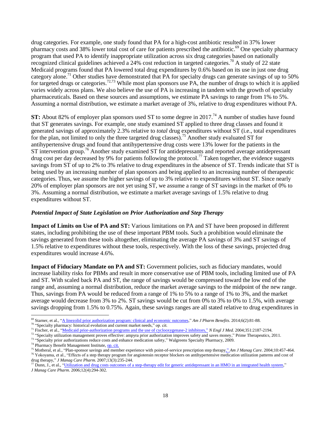drug categories. For example, one study found that PA for a high-cost antibiotic resulted in 37% lower pharmacy costs and 38% lower total cost of care for patients prescribed the antibiotic.<sup>69</sup> One specialty pharmacy program that used PA to identify inappropriate utilization across six drug categories based on nationally recognized clinical guidelines achieved a 24% cost reduction in targeted categories.<sup>70</sup> A study of 22 state Medicaid programs found that PA lowered total drug expenditures by 0.6% based on its use in just one drug category alone.<sup>71</sup> Other studies have demonstrated that PA for specialty drugs can generate savings of up to 50% for targeted drugs or categories.<sup>72,73</sup> While most plan sponsors use PA, the number of drugs to which it is applied varies widely across plans. We also believe the use of PA is increasing in tandem with the growth of specialty pharmaceuticals. Based on these sources and assumptions, we estimate PA savings to range from 1% to 5%. Assuming a normal distribution, we estimate a market average of 3%, relative to drug expenditures without PA.

**ST:** About 82% of employer plan sponsors used ST to some degree in 2017.<sup>74</sup> A number of studies have found that ST generates savings. For example, one study examined ST applied to three drug classes and found it generated savings of approximately 2.3% relative to *total* drug expenditures without ST (i.e., total expenditures for the plan, not limited to only the three targeted drug classes).<sup>75</sup> Another study evaluated ST for antihypertensive drugs and found that antihypertensive drug costs were 13% lower for the patients in the  $ST$  intervention group.<sup>76</sup> Another study examined  $ST$  for antidepressants and reported average antidepressant drug cost per day decreased by 9% for patients following the protocol.<sup>77</sup> Taken together, the evidence suggests savings from ST of up to 2% to 3% relative to drug expenditures in the absence of ST. Trends indicate that ST is being used by an increasing number of plan sponsors and being applied to an increasing number of therapeutic categories. Thus, we assume the higher savings of up to 3% relative to expenditures without ST. Since nearly 20% of employer plan sponsors are not yet using ST, we assume a range of ST savings in the market of 0% to 3%. Assuming a normal distribution, we estimate a market average savings of 1.5% relative to drug expenditures without ST.

#### *Potential Impact of State Legislation on Prior Authorization and Step Therapy*

**Impact of Limits on Use of PA and ST:** Various limitations on PA and ST have been proposed in different states, including prohibiting the use of these important PBM tools. Such a prohibition would eliminate the savings generated from these tools altogether, eliminating the average PA savings of 3% and ST savings of 1.5% relative to expenditures without these tools, respectively. With the loss of these savings, projected drug expenditures would increase 4.6%.

**Impact of Fiduciary Mandate on PA and ST:** Government policies, such as fiduciary mandates, would increase liability risks for PBMs and result in more conservative use of PBM tools, including limited use of PA and ST. With scaled back PA and ST, the range of savings would be compressed toward the low end of the range and, assuming a normal distribution, reduce the market average savings to the midpoint of the new range. Thus, savings from PA would be reduced from a range of 1% to 5% to a range of 1% to 3%, and the market average would decrease from 3% to 2%. ST savings would be cut from 0% to 3% to 0% to 1.5%, with average savings dropping from 1.5% to 0.75%. Again, these savings ranges are all stated relative to drug expenditures in

<sup>69</sup> Starner, et al., "A linezolid prior authorization [program: clinical and economic](http://www.ajpb.com/journals/ajpb/2014/AJPB_MarApr2014/A-Linezolid-Prior-Authorization-Program-Clinical-and-Economic-Outcomes) outcomes," *Am J Pharm Benefits*. 2014;6(2):81-88.

<sup>&</sup>lt;sup>70</sup> "Specialty pharmacy: historical evolution and current market needs," op. cit.

<sup>&</sup>lt;sup>71</sup> Fischer, et al., "<u>Medicaid prior-authorization programs [and the use of cyclooxygenase-2 inhibitors,](http://www.nejm.org/doi/full/10.1056/NEJMsa042770)" *N Engl J Med.* 2004;351:2187-2194.</u>

<sup>&</sup>lt;sup>72</sup> "Specialty utilization management proves effective: ampyra prior authorization improves safety and saves money," Prime Therapeutics, 2011.

<sup>73 &</sup>quot;Specialty prior authorizations reduce costs and enhance medication safety," Walgreens Specialty Pharmacy, 2009.

 $74$  Pharmacy Benefit Management Institute[, op. cit.](https://www.pbmi.com/PBMI/Research/PBMI_Reports/Drug_Benefit_Reports/PBMI/Research/)

<sup>75</sup> Motheral, et al., "Plan-sponsor savings and member experience with point-of-service prescription step therapy," *Am J Manag Care*. 2004;10:457-464. <sup>76</sup> Yokoyama, et al., "Effects of a step therapy program for angiotensin receptor blockers on antihypertensive medication utilization patterns and cost of drug therapy," *J Manag Care Pharm.* 2007;13(3):235-244.

 $\frac{77}{2}$  Dunn, J., et al., "Utilization and [drug costs outcomes of a step-therapy edit for generic antidepressant](http://www.jmcp.org/doi/abs/10.18553/jmcp.2006.12.4.294) in an HMO in an integrated health system," *J Manag Care Pharm*. 2006;12(4):294-302.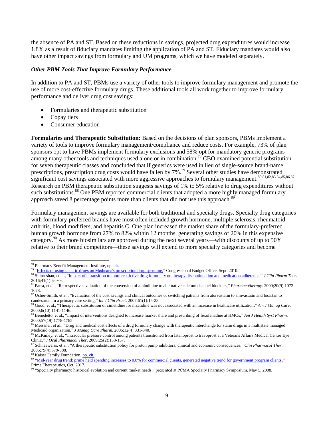the absence of PA and ST. Based on these reductions in savings, projected drug expenditures would increase 1.8% as a result of fiduciary mandates limiting the application of PA and ST. Fiduciary mandates would also have other impact savings from formulary and UM programs, which we have modeled separately.

#### *Other PBM Tools That Improve Formulary Performance*

In addition to PA and ST, PBMs use a variety of other tools to improve formulary management and promote the use of more cost-effective formulary drugs. These additional tools all work together to improve formulary performance and deliver drug cost savings:

- Formularies and therapeutic substitution
- Copay tiers
- Consumer education

**Formularies and Therapeutic Substitution:** Based on the decisions of plan sponsors, PBMs implement a variety of tools to improve formulary management/compliance and reduce costs. For example, 73% of plan sponsors opt to have PBMs implement formulary exclusions and 58% opt for mandatory generic programs among many other tools and techniques used alone or in combination.<sup>78</sup> CBO examined potential substitution for seven therapeutic classes and concluded that if generics were used in lieu of single-source brand-name prescriptions, prescription drug costs would have fallen by  $7\%$ .<sup>79</sup> Several other studies have demonstrated significant cost savings associated with more aggressive approaches to formulary management.<sup>80,81,82,83,84,85,86,87</sup> Research on PBM therapeutic substitution suggests savings of 1% to 5% relative to drug expenditures without such substitutions.<sup>88</sup> One PBM reported commercial clients that adopted a more highly managed formulary approach saved 8 percentage points more than clients that did not use this approach. $89$ 

Formulary management savings are available for both traditional and specialty drugs. Specialty drug categories with formulary-preferred brands have most often included growth hormone, multiple sclerosis, rheumatoid arthritis, blood modifiers, and hepatitis C. One plan increased the market share of the formulary-preferred human growth hormone from 27% to 82% within 12 months, generating savings of 20% in this expensive category.<sup>90</sup> As more biosimilars are approved during the next several years—with discounts of up to 50% relative to their brand competitors—these savings will extend to more specialty categories and become

l

88 Kaiser Family Foundation[, op. cit.](http://www.kff.org/rxdrugs/7295.cfm)

<sup>&</sup>lt;sup>78</sup> Pharmacy Benefit Management Institute[, op. cit.](https://www.pbmi.com/PBMI/Research/PBMI_Reports/Drug_Benefit_Reports/PBMI/Research/)

<sup>79</sup> "Effects of using generic [drugs on Medicare's prescription](https://www.cbo.gov/publication/21800?index=11838) drug spending," Congressional Budget Office, Sept. 2010.

<sup>80</sup> Shirneshan, et al., "Impact of a transition to more restrictive [drug formulary on therapy discontinuation and medication adherence,](http://onlinelibrary.wiley.com/doi/10.1111/jcpt.12349/full)" *J Clin Pharm Ther*. 2016;41(1):64-69.

<sup>81</sup> Parra, et al., "Retrospective evaluation of the conversion of amlodipine to alternative calcium channel blockers," *Pharmacotherapy*. 2000;20(9):1072- 1078.

<sup>&</sup>lt;sup>82</sup> Usher-Smith, et al., "Evaluation of the cost savings and clinical outcomes of switching patients from atorvastatin to simvastatin and losartan to candesartan in a primary care setting," *Int J Clin Pract*. 2007;61(1):15-23.

<sup>83</sup> Good, et al., "Therapeutic substitution of cimetidine for nizatidine was not associated with an increase in healthcare utilization," *Am J Manag Care*. 2000;6(10):1141-1146.

<sup>84</sup> Benedetto, et al., "Impact of interventions designed to increase market share and prescribing of fexofenadine at HMOs," *Am J Health Syst Pharm*. 2000;57(19):1778-1785.

<sup>&</sup>lt;sup>85</sup> Meissner, et al., "Drug and medical cost effects of a drug formulary change with therapeutic interchange for statin drugs in a multistate managed Medicaid organization," *J Manag Care Pharm*. 2006;12(4):331-340.

<sup>&</sup>lt;sup>86</sup> McKinley, et al., "Intraocular pressure control among patients transitioned from latanoprost to travoprost at a Veterans Affairs Medical Center Eye Clinic," *J Ocul Pharmacol Ther*. 2009;25(2):153-157.

<sup>87</sup> Schneeweiss, et al., "A therapeutic substitution policy for proton pump inhibitors: clinical and economic consequences," *Clin Pharmacol Ther*. 2006;79(4):379-388.

<sup>89 &</sup>quot;Mid-year [drug trend: prime held spending increases to 0.8% for commercial clients, generated negative trend for government program clients,"](https://www.primetherapeutics.com/en/news/pressreleases/2017/prime-midyear-drugtrend-2017-release.html) Prime Therapeutics, Oct. 2017.

<sup>90 &</sup>quot;Specialty pharmacy: historical evolution and current market needs," presented at PCMA Specialty Pharmacy Symposium, May 5, 2008.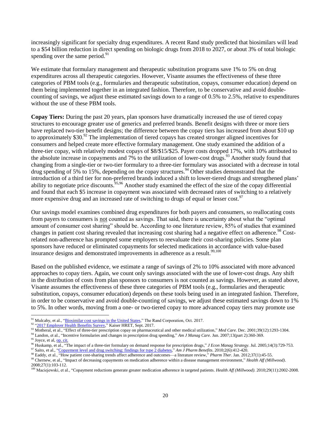increasingly significant for specialty drug expenditures. A recent Rand study predicted that biosimilars will lead to a \$54 billion reduction in direct spending on biologic drugs from 2018 to 2027, or about 3% of total biologic spending over the same period. $91$ 

We estimate that formulary management and therapeutic substitution programs save 1% to 5% on drug expenditures across all therapeutic categories. However, Visante assumes the effectiveness of these three categories of PBM tools (e.g., formularies and therapeutic substitution, copays, consumer education) depend on them being implemented together in an integrated fashion. Therefore, to be conservative and avoid doublecounting of savings, we adjust these estimated savings down to a range of 0.5% to 2.5%, relative to expenditures without the use of these PBM tools.

**Copay Tiers:** During the past 20 years, plan sponsors have dramatically increased the use of tiered copay structures to encourage greater use of generics and preferred brands. Benefit designs with three or more tiers have replaced two-tier benefit designs; the difference between the copay tiers has increased from about \$10 up to approximately  $$30.^{92}$  The implementation of tiered copays has created stronger aligned incentives for consumers and helped create more effective formulary management. One study examined the addition of a three-tier copay, with relatively modest copays of \$8/\$15/\$25. Payer costs dropped 17%, with 10% attributed to the absolute increase in copayments and 7% to the utilization of lower-cost drugs.<sup>93</sup> Another study found that changing from a single-tier or two-tier formulary to a three-tier formulary was associated with a decrease in total drug spending of 5% to 15%, depending on the copay structures.<sup>94</sup> Other studies demonstrated that the introduction of a third tier for non-preferred brands induced a shift to lower-tiered drugs and strengthened plans' ability to negotiate price discounts.<sup>95,96</sup> Another study examined the effect of the size of the copay differential and found that each \$5 increase in copayment was associated with decreased rates of switching to a relatively more expensive drug and an increased rate of switching to drugs of equal or lesser cost.<sup>97</sup>

Our savings model examines combined drug expenditures for both payers and consumers, so reallocating costs from payers to consumers is not counted as savings. That said, there is uncertainty about what the "optimal amount of consumer cost sharing" should be. According to one literature review, 85% of studies that examined changes in patient cost sharing revealed that increasing cost sharing had a negative effect on adherence.<sup>98</sup> Costrelated non-adherence has prompted some employers to reevaluate their cost-sharing policies. Some plan sponsors have reduced or eliminated copayments for selected medications in accordance with value-based insurance designs and demonstrated improvements in adherence as a result.<sup>99,100</sup>

Based on the published evidence, we estimate a range of savings of 2% to 10% associated with more advanced approaches to copay tiers. Again, we count only savings associated with the use of lower-cost drugs. Any shift in the distribution of costs from plan sponsors to consumers is not counted as savings. However, as stated above, Visante assumes the effectiveness of these three categories of PBM tools (e.g., formularies and therapeutic substitution, copays, consumer education) depends on these tools being used in an integrated fashion. Therefore, in order to be conservative and avoid double-counting of savings, we adjust these estimated savings down to 1% to 5%. In other words, moving from a one- or two-tiered copay to more advanced copay tiers may promote use

l

2008;27(1):103-112.

<sup>&</sup>lt;sup>91</sup> Mulcahy, et al., ["Biosimilar cost savings](https://www.rand.org/pubs/perspectives/PE264.html) in the United States," The Rand Corporation, Oct. 2017.

<sup>92</sup> ["2017 Employer Health Benefits Survey,"](https://www.kff.org/health-costs/report/2017-employer-health-benefits-survey/) Kaiser HRET, Sept. 2017.

<sup>93</sup> Motheral, et al., "Effect of three-tier prescription copay on pharmaceutical and other medical utilization," *Med Care*. Dec. 2001;39(12):1293-1304.

<sup>94</sup> Landon, et al., "Incentive formularies and changes in prescription drug spending," *Am J Manag Care.* Jun. 2007;13(part 2):360-369.

<sup>95</sup> Joyce, et al[, op. cit.](http://jama.ama-assn.org/content/288/14/1733)

<sup>96</sup> Huskamp, et al., "The impact of a three-tier formulary on demand response for prescription drugs," *J Econ Manag Strategy.* Jul. 2005;14(3):729-753.

<sup>97</sup> Saito, et al., ["Copayment level and drug switching: findings for type 2 diabetes,"](http://www.ajpb.com/journals/ajpb/2010/AJPB_10december/AJPB_10dec_Saito_412to420) *Am J Pharm Benefits*. 2010;2(6):412-420.

<sup>98</sup> Eaddy, et al., "How patient cost-sharing trends affect adherence and outcomes—a literature review," *Pharm Ther*. Jan. 2012;37(1):45-55. <sup>99</sup> Chernew, et al., "Impact of decreasing copayments on medication adherence within a disease management environment," *Health Aff (Millwood)*.

<sup>&</sup>lt;sup>100</sup> Maciejewski, et al., "Copayment reductions generate greater medication adherence in targeted patients. *Health Aff (Millwood)*. 2010;29(11):2002-2008.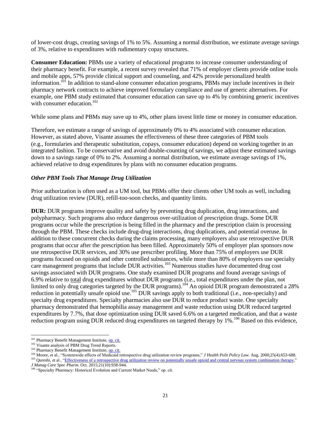of lower-cost drugs, creating savings of 1% to 5%. Assuming a normal distribution, we estimate average savings of 3%, relative to expenditures with rudimentary copay structures.

**Consumer Education:** PBMs use a variety of educational programs to increase consumer understanding of their pharmacy benefit. For example, a recent survey revealed that 71% of employer clients provide online tools and mobile apps, 57% provide clinical support and counseling, and 42% provide personalized health information.<sup>101</sup> In addition to stand-alone consumer education programs, PBMs may include incentives in their pharmacy network contracts to achieve improved formulary compliance and use of generic alternatives. For example, one PBM study estimated that consumer education can save up to 4% by combining generic incentives with consumer education.<sup>102</sup>

While some plans and PBMs may save up to 4%, other plans invest little time or money in consumer education.

Therefore, we estimate a range of savings of approximately 0% to 4% associated with consumer education. However, as stated above, Visante assumes the effectiveness of these three categories of PBM tools (e.g., formularies and therapeutic substitution, copays, consumer education) depend on working together in an integrated fashion. To be conservative and avoid double-counting of savings, we adjust these estimated savings down to a savings range of 0% to 2%. Assuming a normal distribution, we estimate average savings of 1%, achieved relative to drug expenditures by plans with no consumer education programs.

#### *Other PBM Tools That Manage Drug Utilization*

Prior authorization is often used as a UM tool, but PBMs offer their clients other UM tools as well, including drug utilization review (DUR), refill-too-soon checks, and quantity limits.

**DUR:** DUR programs improve quality and safety by preventing drug duplication, drug interactions, and polypharmacy. Such programs also reduce dangerous over-utilization of prescription drugs. Some DUR programs occur while the prescription is being filled in the pharmacy and the prescription claim is processing through the PBM. These checks include drug-drug interactions, drug duplications, and potential overuse. In addition to these concurrent checks during the claims processing, many employers also use retrospective DUR programs that occur after the prescription has been filled. Approximately 50% of employer plan sponsors now use retrospective DUR services, and 30% use prescriber profiling. More than 75% of employers use DUR programs focused on opioids and other controlled substances, while more than 80% of employers use specialty care management programs that include DUR activities.<sup>103</sup> Numerous studies have documented drug cost savings associated with DUR programs. One study examined DUR programs and found average savings of 6.9% relative to total drug expenditures without DUR programs (i.e., total expenditures under the plan, not limited to only drug categories targeted by the DUR programs).<sup>104</sup> An opioid DUR program demonstrated a 28% reduction in potentially unsafe opioid use.<sup>105</sup> DUR savings apply to both traditional (i.e., non-specialty) and specialty drug expenditures. Specialty pharmacies also use DUR to reduce product waste. One specialty pharmacy demonstrated that hemophilia assay management and waste reduction using DUR reduced targeted expenditures by 7.7%, that dose optimization using DUR saved 6.6% on a targeted medication, and that a waste reduction program using DUR reduced drug expenditures on targeted therapy by 1%.<sup>106</sup> Based on this evidence,

<sup>&</sup>lt;sup>101</sup> Pharmacy Benefit Management Institute[, op. cit.](https://www.pbmi.com/PBMI/Research/PBMI_Reports/Drug_Benefit_Reports/PBMI/Research/)

<sup>102</sup> Visante analysis of PBM Drug Trend Reports.

<sup>&</sup>lt;sup>103</sup> Pharmacy Benefit Management Institute, **op. cit.** 

<sup>104</sup> Moore, et al., "Systemwide effects of Medicaid retrospective drug utilization review programs," *J Health Polit Policy Law.* Aug. 2000;25(4):653-688. <sup>105</sup> Qureshi, et al., ["Effectiveness of a retrospective drug utilization review on potentially unsafe opioid and central nervous system combination therapy,"](http://www.jmcp.org/doi/full/10.18553/jmcp.2015.21.10.938)

*J Manag Care Spec Pharm.* Oct. 2015;21(10):938-944.

<sup>&</sup>lt;sup>106</sup> "Specialty Pharmacy: Historical Evolution and Current Market Needs," op. cit.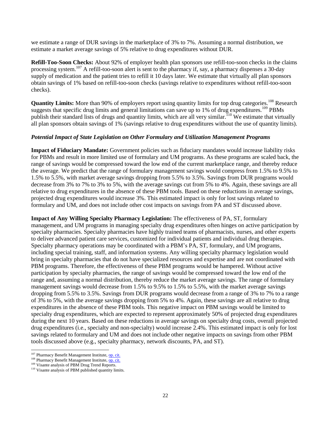we estimate a range of DUR savings in the marketplace of 3% to 7%. Assuming a normal distribution, we estimate a market average savings of 5% relative to drug expenditures without DUR.

**Refill-Too-Soon Checks:** About 92% of employer health plan sponsors use refill-too-soon checks in the claims processing system.<sup>107</sup> A refill-too-soon alert is sent to the pharmacy if, say, a pharmacy dispenses a 30-day supply of medication and the patient tries to refill it 10 days later. We estimate that virtually all plan sponsors obtain savings of 1% based on refill-too-soon checks (savings relative to expenditures without refill-too-soon checks).

**Quantity Limits:** More than 90% of employers report using quantity limits for top drug categories.<sup>108</sup> Research suggests that specific drug limits and general limitations can save up to 1% of drug expenditures.<sup>109</sup> PBMs publish their standard lists of drugs and quantity limits, which are all very similar.<sup>110</sup> We estimate that virtually all plan sponsors obtain savings of 1% (savings relative to drug expenditures without the use of quantity limits).

#### *Potential Impact of State Legislation on Other Formulary and Utilization Management Programs*

**Impact of Fiduciary Mandate:** Government policies such as fiduciary mandates would increase liability risks for PBMs and result in more limited use of formulary and UM programs. As these programs are scaled back, the range of savings would be compressed toward the low end of the current marketplace range, and thereby reduce the average. We predict that the range of formulary management savings would compress from 1.5% to 9.5% to 1.5% to 5.5%, with market average savings dropping from 5.5% to 3.5%. Savings from DUR programs would decrease from 3% to 7% to 3% to 5%, with the average savings cut from 5% to 4%. Again, these savings are all relative to drug expenditures in the absence of these PBM tools. Based on these reductions in average savings, projected drug expenditures would increase 3%. This estimated impact is only for lost savings related to formulary and UM, and does not include other cost impacts on savings from PA and ST discussed above.

**Impact of Any Willing Specialty Pharmacy Legislation:** The effectiveness of PA, ST, formulary management, and UM programs in managing specialty drug expenditures often hinges on active participation by specialty pharmacies. Specialty pharmacies have highly trained teams of pharmacists, nurses, and other experts to deliver advanced patient care services, customized for individual patients and individual drug therapies. Specialty pharmacy operations may be coordinated with a PBM's PA, ST, formulary, and UM programs, including special training, staff, and information systems. Any willing specialty pharmacy legislation would bring in specialty pharmacies that do not have specialized resources and expertise and are not coordinated with PBM programs. Therefore, the effectiveness of these PBM programs would be hampered. Without active participation by specialty pharmacies, the range of savings would be compressed toward the low end of the range and, assuming a normal distribution, thereby reduce the market average savings. The range of formulary management savings would decrease from 1.5% to 9.5% to 1.5% to 5.5%, with the market average savings dropping from 5.5% to 3.5%. Savings from DUR programs would decrease from a range of 3% to 7% to a range of 3% to 5%, with the average savings dropping from 5% to 4%. Again, these savings are all relative to drug expenditures in the absence of these PBM tools. This negative impact on PBM savings would be limited to specialty drug expenditures, which are expected to represent approximately 50% of projected drug expenditures during the next 10 years. Based on these reductions in average savings on specialty drug costs, overall projected drug expenditures (i.e., specialty and non-specialty) would increase 2.4%. This estimated impact is only for lost savings related to formulary and UM and does not include other negative impacts on savings from other PBM tools discussed above (e.g., specialty pharmacy, network discounts, PA, and ST).

<sup>&</sup>lt;sup>107</sup> Pharmacy Benefit Management Institute[, op. cit.](http://www.benefitdesignreport.com/)

<sup>&</sup>lt;sup>108</sup> Pharmacy Benefit Management Institute[, op. cit.](http://www.benefitdesignreport.com/)

<sup>109</sup> Visante analysis of PBM Drug Trend Reports.

<sup>110</sup> Visante analysis of PBM published quantity limits.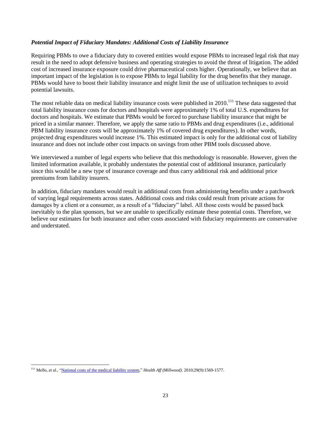#### *Potential Impact of Fiduciary Mandates: Additional Costs of Liability Insurance*

Requiring PBMs to owe a fiduciary duty to covered entities would expose PBMs to increased legal risk that may result in the need to adopt defensive business and operating strategies to avoid the threat of litigation. The added cost of increased insurance exposure could drive pharmaceutical costs higher. Operationally, we believe that an important impact of the legislation is to expose PBMs to legal liability for the drug benefits that they manage. PBMs would have to boost their liability insurance and might limit the use of utilization techniques to avoid potential lawsuits.

The most reliable data on medical liability insurance costs were published in  $2010$ <sup>111</sup>. These data suggested that total liability insurance costs for doctors and hospitals were approximately 1% of total U.S. expenditures for doctors and hospitals. We estimate that PBMs would be forced to purchase liability insurance that might be priced in a similar manner. Therefore, we apply the same ratio to PBMs and drug expenditures (i.e., additional PBM liability insurance costs will be approximately 1% of covered drug expenditures). In other words, projected drug expenditures would increase 1%. This estimated impact is only for the additional cost of liability insurance and does not include other cost impacts on savings from other PBM tools discussed above.

We interviewed a number of legal experts who believe that this methodology is reasonable. However, given the limited information available, it probably understates the potential cost of additional insurance, particularly since this would be a new type of insurance coverage and thus carry additional risk and additional price premiums from liability insurers.

In addition, fiduciary mandates would result in additional costs from administering benefits under a patchwork of varying legal requirements across states. Additional costs and risks could result from private actions for damages by a client or a consumer, as a result of a "fiduciary" label. All those costs would be passed back inevitably to the plan sponsors, but we are unable to specifically estimate these potential costs. Therefore, we believe our estimates for both insurance and other costs associated with fiduciary requirements are conservative and understated.

 $\overline{a}$ <sup>111</sup> Mello, et al., ["National costs of the medical liability system,"](http://content.healthaffairs.org/content/29/9/1569) *Health Aff (Millwood)*. 2010;29(9):1569-1577.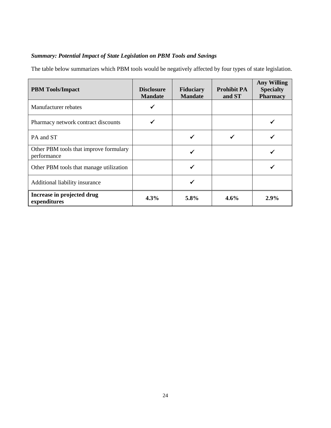## *Summary: Potential Impact of State Legislation on PBM Tools and Savings*

The table below summarizes which PBM tools would be negatively affected by four types of state legislation.

| <b>PBM</b> Tools/Impact                               | <b>Disclosure</b><br><b>Mandate</b> | <b>Fiduciary</b><br><b>Mandate</b> | <b>Prohibit PA</b><br>and ST | <b>Any Willing</b><br><b>Specialty</b><br><b>Pharmacy</b> |
|-------------------------------------------------------|-------------------------------------|------------------------------------|------------------------------|-----------------------------------------------------------|
| Manufacturer rebates                                  |                                     |                                    |                              |                                                           |
| Pharmacy network contract discounts                   |                                     |                                    |                              |                                                           |
| PA and ST                                             |                                     |                                    |                              |                                                           |
| Other PBM tools that improve formulary<br>performance |                                     |                                    |                              |                                                           |
| Other PBM tools that manage utilization               |                                     | ✔                                  |                              |                                                           |
| Additional liability insurance                        |                                     |                                    |                              |                                                           |
| Increase in projected drug<br>expenditures            | 4.3%                                | 5.8%                               | $4.6\%$                      | $2.9\%$                                                   |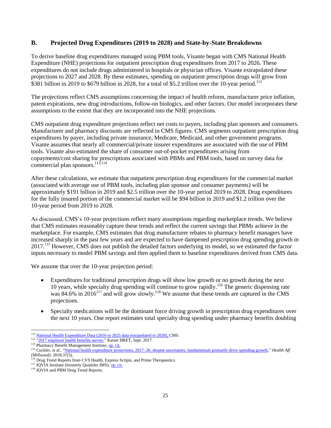## **B. Projected Drug Expenditures (2019 to 2028) and State-by-State Breakdowns**

To derive baseline drug expenditures managed using PBM tools, Visante began with CMS National Health Expenditure (NHE) projections for outpatient prescription drug expenditures from 2017 to 2026. These expenditures do not include drugs administered in hospitals or physician offices. Visante extrapolated these projections to 2027 and 2028. By these estimates, spending on outpatient prescription drugs will grow from  $$381$  billion in 2019 to \$679 billion in 2028, for a total of \$5.2 trillion over the 10-year period.<sup>112</sup>

The projections reflect CMS assumptions concerning the impact of health reform, manufacturer price inflation, patent expirations, new drug introductions, follow-on biologics, and other factors. Our model incorporates these assumptions to the extent that they are incorporated into the NHE projections.

CMS outpatient drug expenditure projections reflect net costs to payers, including plan sponsors and consumers. Manufacturer and pharmacy discounts are reflected in CMS figures. CMS segments outpatient prescription drug expenditures by payer, including private insurance, Medicare, Medicaid, and other government programs. Visante assumes that nearly all commercial/private insurer expenditures are associated with the use of PBM tools. Visante also estimated the share of consumer out-of-pocket expenditures arising from copayments/cost sharing for prescriptions associated with PBMs and PBM tools, based on survey data for commercial plan sponsors. 113,114

After these calculations, we estimate that outpatient prescription drug expenditures for the commercial market (associated with average use of PBM tools, including plan sponsor and consumer payments) will be approximately \$191 billion in 2019 and \$2.5 trillion over the 10-year period 2019 to 2028. Drug expenditures for the fully insured portion of the commercial market will be \$94 billion in 2019 and \$1.2 trillion over the 10-year period from 2019 to 2028.

As discussed, CMS's 10-year projections reflect many assumptions regarding marketplace trends. We believe that CMS estimates reasonably capture these trends and reflect the current savings that PBMs achieve in the marketplace. For example, CMS estimates that drug manufacturer rebates to pharmacy benefit managers have increased sharply in the past few years and are expected to have dampened prescription drug spending growth in 2017.<sup>115</sup> However, CMS does not publish the detailed factors underlying its model, so we estimated the factor inputs necessary to model PBM savings and then applied them to baseline expenditures derived from CMS data.

We assume that over the 10-year projection period:

- Expenditures for traditional prescription drugs will show low growth or no growth during the next 10 years, while specialty drug spending will continue to grow rapidly.<sup>116</sup> The generic dispensing rate was 84.6% in  $2016^{117}$  and will grow slowly.<sup>118</sup> We assume that these trends are captured in the CMS projections.
- Specialty medications will be the dominant force driving growth in prescription drug expenditures over the next 10 years. One report estimates total specialty drug spending under pharmacy benefits doubling

l <sup>112</sup> [National Health Expenditure Data](http://www.cms.gov/Research-Statistics-Data-and-Systems/Statistics-Trends-and-Reports/NationalHealthExpendData/NationalHealthAccountsProjected.html) (2016 to 2025 data extrapolated to 2028), CMS.

<sup>&</sup>lt;sup>113</sup> ["2017 employer health benefits survey,"](https://www.kff.org/health-costs/report/2017-employer-health-benefits-survey/) Kaiser HRET, Sept. 2017.

<sup>114</sup> Pharmacy Benefit Management Institute[, op. cit.](http://www.benefitdesignreport.com/)

<sup>&</sup>lt;sup>115</sup> Cuckler, et al., "National health expenditure projections, 2017–26: despite uncertainty, fundamentals [primarily drive spending growth,"](https://www.healthaffairs.org/doi/abs/10.1377/hlthaff.2017.1655) *Health Aff (Millwood).* 2018;37(3).

<sup>&</sup>lt;sup>116</sup> Drug Trend Reports from CVS Health, Express Scripts, and Prime Therapeutics.

 $117$  IQVIA Institute (formerly Quintiles IMS), [op.](https://www.iqvia.com/institute/reports/medicines-use-and-spending-in-the-us-a-review-of-2016) cit.

<sup>&</sup>lt;sup>118</sup> IQVIA and PBM Drug Trend Reports.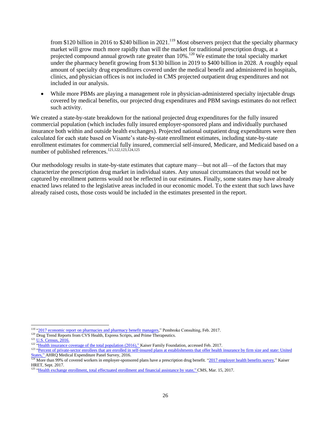from \$120 billion in 2016 to \$240 billion in 2021.<sup>119</sup> Most observers project that the specialty pharmacy market will grow much more rapidly than will the market for traditional prescription drugs, at a projected compound annual growth rate greater than 10%.<sup>120</sup> We estimate the total specialty market under the pharmacy benefit growing from \$130 billion in 2019 to \$400 billion in 2028. A roughly equal amount of specialty drug expenditures covered under the medical benefit and administered in hospitals, clinics, and physician offices is not included in CMS projected outpatient drug expenditures and not included in our analysis.

 While more PBMs are playing a management role in physician-administered specialty injectable drugs covered by medical benefits, our projected drug expenditures and PBM savings estimates do not reflect such activity.

We created a state-by-state breakdown for the national projected drug expenditures for the fully insured commercial population (which includes fully insured employer-sponsored plans and individually purchased insurance both within and outside health exchanges). Projected national outpatient drug expenditures were then calculated for each state based on Visante's state-by-state enrollment estimates, including state-by-state enrollment estimates for commercial fully insured, commercial self-insured, Medicare, and Medicaid based on a number of published references.121,122,123,124,125

Our methodology results in state-by-state estimates that capture many—but not all—of the factors that may characterize the prescription drug market in individual states. Any unusual circumstances that would not be captured by enrollment patterns would not be reflected in our estimates. Finally, some states may have already enacted laws related to the legislative areas included in our economic model. To the extent that such laws have already raised costs, those costs would be included in the estimates presented in the report.

<sup>&</sup>lt;sup>119</sup> "2017 economic report on pharmacies [and pharmacy benefit managers,](http://drugchannelsinstitute.com/files/2017-PharmacyPBM-DCI-Overview.pdf)" Pembroke Consulting, Feb. 2017.

<sup>&</sup>lt;sup>120</sup> Drug Trend Reports from CVS Health, Express Scripts, and Prime Therapeutics.

<sup>&</sup>lt;sup>121</sup> U.S. [Census, 2016.](https://www.census.gov/data/tables/2016/demo/popest/nation-total.html)

<sup>&</sup>lt;sup>122</sup> "Health insurance [coverage of the total](http://kff.org/other/state-indicator/total-population/) population (2016)," Kaiser Family Foundation, accessed Feb. 2017.

<sup>&</sup>lt;sup>123</sup> "Percent of private-sector enrollees that are enrolled in self-insured plans at establishments that offer health insurance by firm size and state: United [States," AHRQ Medical Expenditure Panel Survey,](https://meps.ahrq.gov/data_stats/summ_tables/insr/state/series_2/2016/tiib2b1.htm) 2016.

<sup>&</sup>lt;sup>124</sup> More than 99% of covered workers in employer-sponsored plans have a prescription drug benefit. ["2017 employer health benefits survey,"](https://www.kff.org/health-costs/report/2017-employer-health-benefits-survey/) Kaiser HRET, Sept. 2017.

<sup>&</sup>lt;sup>125</sup> ["Health exchange enrollment, total effectuated enrollment and financial assistance by state,"](https://www.cms.gov/Newsroom/MediaReleaseDatabase/Fact-sheets/2017-Fact-Sheet-Items/2017-03-15.html) CMS, Mar. 15, 2017.